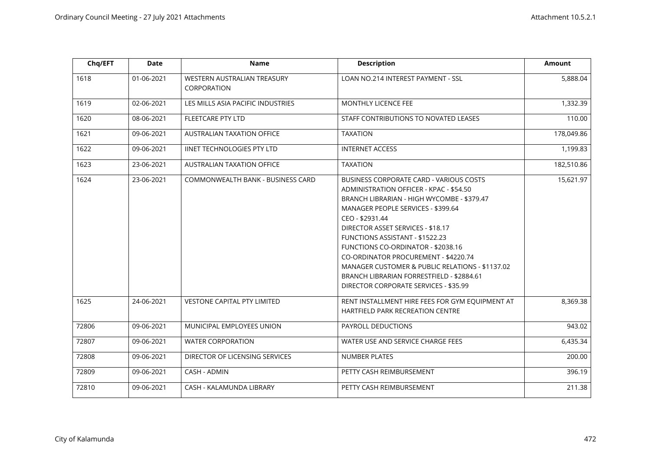| Chq/EFT | <b>Date</b> | Name                                       | <b>Description</b>                                                                                                                                                                                                                                                                                                                                                                                                                                                                       | <b>Amount</b> |
|---------|-------------|--------------------------------------------|------------------------------------------------------------------------------------------------------------------------------------------------------------------------------------------------------------------------------------------------------------------------------------------------------------------------------------------------------------------------------------------------------------------------------------------------------------------------------------------|---------------|
| 1618    | 01-06-2021  | WESTERN AUSTRALIAN TREASURY<br>CORPORATION | LOAN NO.214 INTEREST PAYMENT - SSL                                                                                                                                                                                                                                                                                                                                                                                                                                                       | 5,888.04      |
| 1619    | 02-06-2021  | LES MILLS ASIA PACIFIC INDUSTRIES          | MONTHLY LICENCE FEE                                                                                                                                                                                                                                                                                                                                                                                                                                                                      | 1,332.39      |
| 1620    | 08-06-2021  | FLEETCARE PTY LTD                          | STAFF CONTRIBUTIONS TO NOVATED LEASES                                                                                                                                                                                                                                                                                                                                                                                                                                                    | 110.00        |
| 1621    | 09-06-2021  | AUSTRALIAN TAXATION OFFICE                 | <b>TAXATION</b>                                                                                                                                                                                                                                                                                                                                                                                                                                                                          | 178,049.86    |
| 1622    | 09-06-2021  | <b>IINET TECHNOLOGIES PTY LTD</b>          | <b>INTERNET ACCESS</b>                                                                                                                                                                                                                                                                                                                                                                                                                                                                   | 1,199.83      |
| 1623    | 23-06-2021  | AUSTRALIAN TAXATION OFFICE                 | <b>TAXATION</b>                                                                                                                                                                                                                                                                                                                                                                                                                                                                          | 182,510.86    |
| 1624    | 23-06-2021  | COMMONWEALTH BANK - BUSINESS CARD          | BUSINESS CORPORATE CARD - VARIOUS COSTS<br>ADMINISTRATION OFFICER - KPAC - \$54.50<br>BRANCH LIBRARIAN - HIGH WYCOMBE - \$379.47<br>MANAGER PEOPLE SERVICES - \$399.64<br>CEO - \$2931.44<br>DIRECTOR ASSET SERVICES - \$18.17<br>FUNCTIONS ASSISTANT - \$1522.23<br>FUNCTIONS CO-ORDINATOR - \$2038.16<br>CO-ORDINATOR PROCUREMENT - \$4220.74<br>MANAGER CUSTOMER & PUBLIC RELATIONS - \$1137.02<br>BRANCH LIBRARIAN FORRESTFIELD - \$2884.61<br>DIRECTOR CORPORATE SERVICES - \$35.99 | 15,621.97     |
| 1625    | 24-06-2021  | <b>VESTONE CAPITAL PTY LIMITED</b>         | RENT INSTALLMENT HIRE FEES FOR GYM EQUIPMENT AT<br><b>HARTFIELD PARK RECREATION CENTRE</b>                                                                                                                                                                                                                                                                                                                                                                                               | 8,369.38      |
| 72806   | 09-06-2021  | MUNICIPAL EMPLOYEES UNION                  | PAYROLL DEDUCTIONS                                                                                                                                                                                                                                                                                                                                                                                                                                                                       | 943.02        |
| 72807   | 09-06-2021  | <b>WATER CORPORATION</b>                   | WATER USE AND SERVICE CHARGE FEES                                                                                                                                                                                                                                                                                                                                                                                                                                                        | 6,435.34      |
| 72808   | 09-06-2021  | DIRECTOR OF LICENSING SERVICES             | <b>NUMBER PLATES</b>                                                                                                                                                                                                                                                                                                                                                                                                                                                                     | 200.00        |
| 72809   | 09-06-2021  | CASH - ADMIN                               | PETTY CASH REIMBURSEMENT                                                                                                                                                                                                                                                                                                                                                                                                                                                                 | 396.19        |
| 72810   | 09-06-2021  | CASH - KALAMUNDA LIBRARY                   | PETTY CASH REIMBURSEMENT                                                                                                                                                                                                                                                                                                                                                                                                                                                                 | 211.38        |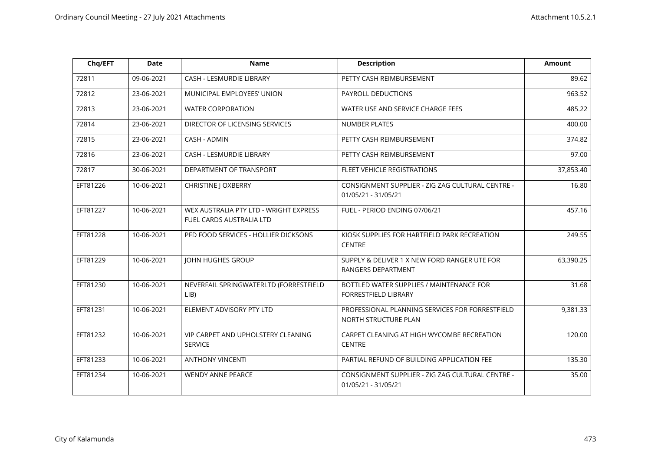| Chq/EFT  | <b>Date</b> | <b>Name</b>                                                        | <b>Description</b>                                                      | <b>Amount</b> |
|----------|-------------|--------------------------------------------------------------------|-------------------------------------------------------------------------|---------------|
| 72811    | 09-06-2021  | <b>CASH - LESMURDIE LIBRARY</b>                                    | PETTY CASH REIMBURSEMENT                                                | 89.62         |
| 72812    | 23-06-2021  | MUNICIPAL EMPLOYEES' UNION                                         | PAYROLL DEDUCTIONS                                                      | 963.52        |
| 72813    | 23-06-2021  | <b>WATER CORPORATION</b>                                           | WATER USE AND SERVICE CHARGE FEES                                       | 485.22        |
| 72814    | 23-06-2021  | DIRECTOR OF LICENSING SERVICES                                     | <b>NUMBER PLATES</b>                                                    | 400.00        |
| 72815    | 23-06-2021  | CASH - ADMIN                                                       | PETTY CASH REIMBURSEMENT                                                | 374.82        |
| 72816    | 23-06-2021  | CASH - LESMURDIE LIBRARY                                           | PETTY CASH REIMBURSEMENT                                                | 97.00         |
| 72817    | 30-06-2021  | DEPARTMENT OF TRANSPORT                                            | FLEET VEHICLE REGISTRATIONS                                             | 37,853.40     |
| EFT81226 | 10-06-2021  | <b>CHRISTINE   OXBERRY</b>                                         | CONSIGNMENT SUPPLIER - ZIG ZAG CULTURAL CENTRE -<br>01/05/21 - 31/05/21 | 16.80         |
| EFT81227 | 10-06-2021  | WEX AUSTRALIA PTY LTD - WRIGHT EXPRESS<br>FUEL CARDS AUSTRALIA LTD | FUEL - PERIOD ENDING 07/06/21                                           | 457.16        |
| EFT81228 | 10-06-2021  | PFD FOOD SERVICES - HOLLIER DICKSONS                               | KIOSK SUPPLIES FOR HARTFIELD PARK RECREATION<br><b>CENTRE</b>           | 249.55        |
| EFT81229 | 10-06-2021  | <b>JOHN HUGHES GROUP</b>                                           | SUPPLY & DELIVER 1 X NEW FORD RANGER UTE FOR<br>RANGERS DEPARTMENT      | 63,390.25     |
| EFT81230 | 10-06-2021  | NEVERFAIL SPRINGWATERLTD (FORRESTFIELD<br>LIB                      | BOTTLED WATER SUPPLIES / MAINTENANCE FOR<br>FORRESTFIELD LIBRARY        | 31.68         |
| EFT81231 | 10-06-2021  | ELEMENT ADVISORY PTY LTD                                           | PROFESSIONAL PLANNING SERVICES FOR FORRESTFIELD<br>NORTH STRUCTURE PLAN | 9,381.33      |
| EFT81232 | 10-06-2021  | VIP CARPET AND UPHOLSTERY CLEANING<br><b>SERVICE</b>               | CARPET CLEANING AT HIGH WYCOMBE RECREATION<br><b>CENTRE</b>             | 120.00        |
| EFT81233 | 10-06-2021  | <b>ANTHONY VINCENTI</b>                                            | PARTIAL REFUND OF BUILDING APPLICATION FEE                              | 135.30        |
| EFT81234 | 10-06-2021  | <b>WENDY ANNE PEARCE</b>                                           | CONSIGNMENT SUPPLIER - ZIG ZAG CULTURAL CENTRE -<br>01/05/21 - 31/05/21 | 35.00         |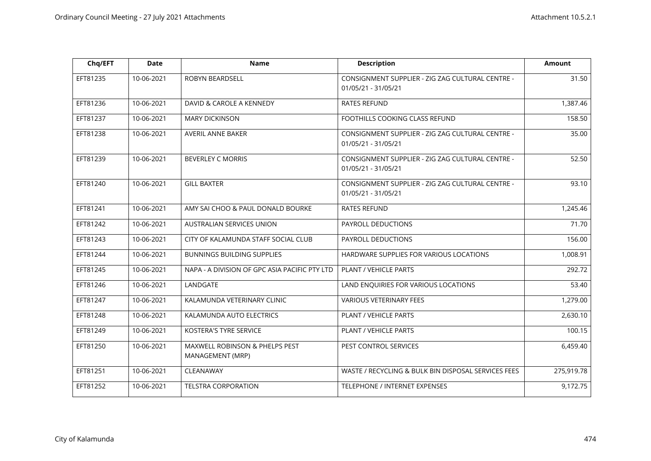| Chq/EFT  | <b>Date</b> | <b>Name</b>                                        | <b>Description</b>                                                      | <b>Amount</b> |
|----------|-------------|----------------------------------------------------|-------------------------------------------------------------------------|---------------|
| EFT81235 | 10-06-2021  | ROBYN BEARDSELL                                    | CONSIGNMENT SUPPLIER - ZIG ZAG CULTURAL CENTRE -<br>01/05/21 - 31/05/21 | 31.50         |
| EFT81236 | 10-06-2021  | DAVID & CAROLE A KENNEDY                           | <b>RATES REFUND</b>                                                     | 1,387.46      |
| EFT81237 | 10-06-2021  | <b>MARY DICKINSON</b>                              | FOOTHILLS COOKING CLASS REFUND                                          | 158.50        |
| EFT81238 | 10-06-2021  | AVERIL ANNE BAKER                                  | CONSIGNMENT SUPPLIER - ZIG ZAG CULTURAL CENTRE -<br>01/05/21 - 31/05/21 | 35.00         |
| EFT81239 | 10-06-2021  | <b>BEVERLEY C MORRIS</b>                           | CONSIGNMENT SUPPLIER - ZIG ZAG CULTURAL CENTRE -<br>01/05/21 - 31/05/21 | 52.50         |
| EFT81240 | 10-06-2021  | <b>GILL BAXTER</b>                                 | CONSIGNMENT SUPPLIER - ZIG ZAG CULTURAL CENTRE -<br>01/05/21 - 31/05/21 | 93.10         |
| EFT81241 | 10-06-2021  | AMY SAI CHOO & PAUL DONALD BOURKE                  | <b>RATES REFUND</b>                                                     | 1,245.46      |
| EFT81242 | 10-06-2021  | AUSTRALIAN SERVICES UNION                          | PAYROLL DEDUCTIONS                                                      | 71.70         |
| EFT81243 | 10-06-2021  | CITY OF KALAMUNDA STAFF SOCIAL CLUB                | PAYROLL DEDUCTIONS                                                      | 156.00        |
| EFT81244 | 10-06-2021  | <b>BUNNINGS BUILDING SUPPLIES</b>                  | HARDWARE SUPPLIES FOR VARIOUS LOCATIONS                                 | 1,008.91      |
| EFT81245 | 10-06-2021  | NAPA - A DIVISION OF GPC ASIA PACIFIC PTY LTD      | PLANT / VEHICLE PARTS                                                   | 292.72        |
| EFT81246 | 10-06-2021  | LANDGATE                                           | LAND ENQUIRIES FOR VARIOUS LOCATIONS                                    | 53.40         |
| EFT81247 | 10-06-2021  | KALAMUNDA VETERINARY CLINIC                        | <b>VARIOUS VETERINARY FEES</b>                                          | 1,279.00      |
| EFT81248 | 10-06-2021  | KALAMUNDA AUTO ELECTRICS                           | PLANT / VEHICLE PARTS                                                   | 2,630.10      |
| EFT81249 | 10-06-2021  | KOSTERA'S TYRE SERVICE                             | PLANT / VEHICLE PARTS                                                   | 100.15        |
| EFT81250 | 10-06-2021  | MAXWELL ROBINSON & PHELPS PEST<br>MANAGEMENT (MRP) | PEST CONTROL SERVICES                                                   | 6,459.40      |
| EFT81251 | 10-06-2021  | CLEANAWAY                                          | WASTE / RECYCLING & BULK BIN DISPOSAL SERVICES FEES                     | 275,919.78    |
| EFT81252 | 10-06-2021  | <b>TELSTRA CORPORATION</b>                         | TELEPHONE / INTERNET EXPENSES                                           | 9,172.75      |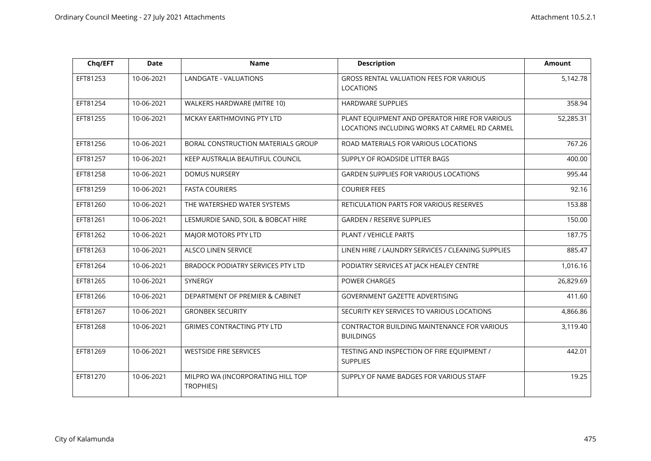| Chq/EFT  | <b>Date</b> | <b>Name</b>                                           | <b>Description</b>                                                                             | Amount    |
|----------|-------------|-------------------------------------------------------|------------------------------------------------------------------------------------------------|-----------|
| EFT81253 | 10-06-2021  | LANDGATE - VALUATIONS                                 | <b>GROSS RENTAL VALUATION FEES FOR VARIOUS</b><br><b>LOCATIONS</b>                             | 5,142.78  |
| EFT81254 | 10-06-2021  | WALKERS HARDWARE (MITRE 10)                           | <b>HARDWARE SUPPLIES</b>                                                                       | 358.94    |
| EFT81255 | 10-06-2021  | MCKAY EARTHMOVING PTY LTD                             | PLANT EQUIPMENT AND OPERATOR HIRE FOR VARIOUS<br>LOCATIONS INCLUDING WORKS AT CARMEL RD CARMEL | 52,285.31 |
| EFT81256 | 10-06-2021  | BORAL CONSTRUCTION MATERIALS GROUP                    | ROAD MATERIALS FOR VARIOUS LOCATIONS                                                           | 767.26    |
| EFT81257 | 10-06-2021  | KEEP AUSTRALIA BEAUTIFUL COUNCIL                      | SUPPLY OF ROADSIDE LITTER BAGS                                                                 | 400.00    |
| EFT81258 | 10-06-2021  | <b>DOMUS NURSERY</b>                                  | <b>GARDEN SUPPLIES FOR VARIOUS LOCATIONS</b>                                                   | 995.44    |
| EFT81259 | 10-06-2021  | <b>FASTA COURIERS</b>                                 | <b>COURIER FEES</b>                                                                            | 92.16     |
| EFT81260 | 10-06-2021  | THE WATERSHED WATER SYSTEMS                           | RETICULATION PARTS FOR VARIOUS RESERVES                                                        | 153.88    |
| EFT81261 | 10-06-2021  | LESMURDIE SAND, SOIL & BOBCAT HIRE                    | <b>GARDEN / RESERVE SUPPLIES</b>                                                               | 150.00    |
| EFT81262 | 10-06-2021  | MAJOR MOTORS PTY LTD                                  | PLANT / VEHICLE PARTS                                                                          | 187.75    |
| EFT81263 | 10-06-2021  | <b>ALSCO LINEN SERVICE</b>                            | LINEN HIRE / LAUNDRY SERVICES / CLEANING SUPPLIES                                              | 885.47    |
| EFT81264 | 10-06-2021  | <b>BRADOCK PODIATRY SERVICES PTY LTD</b>              | PODIATRY SERVICES AT JACK HEALEY CENTRE                                                        | 1,016.16  |
| EFT81265 | 10-06-2021  | SYNERGY                                               | POWER CHARGES                                                                                  | 26,829.69 |
| EFT81266 | 10-06-2021  | DEPARTMENT OF PREMIER & CABINET                       | GOVERNMENT GAZETTE ADVERTISING                                                                 | 411.60    |
| EFT81267 | 10-06-2021  | <b>GRONBEK SECURITY</b>                               | SECURITY KEY SERVICES TO VARIOUS LOCATIONS                                                     | 4,866.86  |
| EFT81268 | 10-06-2021  | <b>GRIMES CONTRACTING PTY LTD</b>                     | CONTRACTOR BUILDING MAINTENANCE FOR VARIOUS<br><b>BUILDINGS</b>                                | 3,119.40  |
| EFT81269 | 10-06-2021  | <b>WESTSIDE FIRE SERVICES</b>                         | TESTING AND INSPECTION OF FIRE EQUIPMENT /<br><b>SUPPLIES</b>                                  | 442.01    |
| EFT81270 | 10-06-2021  | MILPRO WA (INCORPORATING HILL TOP<br><b>TROPHIES)</b> | SUPPLY OF NAME BADGES FOR VARIOUS STAFF                                                        | 19.25     |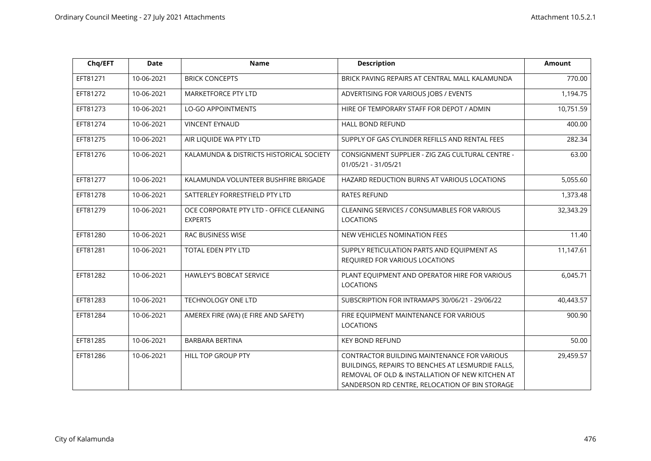| Chq/EFT  | <b>Date</b> | <b>Name</b>                                               | <b>Description</b>                                                                                                                                                                                    | <b>Amount</b> |
|----------|-------------|-----------------------------------------------------------|-------------------------------------------------------------------------------------------------------------------------------------------------------------------------------------------------------|---------------|
| EFT81271 | 10-06-2021  | <b>BRICK CONCEPTS</b>                                     | BRICK PAVING REPAIRS AT CENTRAL MALL KALAMUNDA                                                                                                                                                        | 770.00        |
| EFT81272 | 10-06-2021  | <b>MARKETFORCE PTY LTD</b>                                | ADVERTISING FOR VARIOUS JOBS / EVENTS                                                                                                                                                                 | 1,194.75      |
| EFT81273 | 10-06-2021  | <b>LO-GO APPOINTMENTS</b>                                 | HIRE OF TEMPORARY STAFF FOR DEPOT / ADMIN                                                                                                                                                             | 10,751.59     |
| EFT81274 | 10-06-2021  | <b>VINCENT EYNAUD</b>                                     | HALL BOND REFUND                                                                                                                                                                                      | 400.00        |
| EFT81275 | 10-06-2021  | AIR LIQUIDE WA PTY LTD                                    | SUPPLY OF GAS CYLINDER REFILLS AND RENTAL FEES                                                                                                                                                        | 282.34        |
| EFT81276 | 10-06-2021  | KALAMUNDA & DISTRICTS HISTORICAL SOCIETY                  | CONSIGNMENT SUPPLIER - ZIG ZAG CULTURAL CENTRE -<br>01/05/21 - 31/05/21                                                                                                                               | 63.00         |
| EFT81277 | 10-06-2021  | KALAMUNDA VOLUNTEER BUSHFIRE BRIGADE                      | HAZARD REDUCTION BURNS AT VARIOUS LOCATIONS                                                                                                                                                           | 5,055.60      |
| EFT81278 | 10-06-2021  | SATTERLEY FORRESTFIELD PTY LTD                            | <b>RATES REFUND</b>                                                                                                                                                                                   | 1,373.48      |
| EFT81279 | 10-06-2021  | OCE CORPORATE PTY LTD - OFFICE CLEANING<br><b>EXPERTS</b> | <b>CLEANING SERVICES / CONSUMABLES FOR VARIOUS</b><br><b>LOCATIONS</b>                                                                                                                                | 32,343.29     |
| EFT81280 | 10-06-2021  | RAC BUSINESS WISE                                         | NEW VEHICLES NOMINATION FEES                                                                                                                                                                          | 11.40         |
| EFT81281 | 10-06-2021  | TOTAL EDEN PTY LTD                                        | SUPPLY RETICULATION PARTS AND EQUIPMENT AS<br>REQUIRED FOR VARIOUS LOCATIONS                                                                                                                          | 11,147.61     |
| EFT81282 | 10-06-2021  | <b>HAWLEY'S BOBCAT SERVICE</b>                            | PLANT EQUIPMENT AND OPERATOR HIRE FOR VARIOUS<br><b>LOCATIONS</b>                                                                                                                                     | 6,045.71      |
| EFT81283 | 10-06-2021  | TECHNOLOGY ONE LTD                                        | SUBSCRIPTION FOR INTRAMAPS 30/06/21 - 29/06/22                                                                                                                                                        | 40,443.57     |
| EFT81284 | 10-06-2021  | AMEREX FIRE (WA) (E FIRE AND SAFETY)                      | FIRE EQUIPMENT MAINTENANCE FOR VARIOUS<br><b>LOCATIONS</b>                                                                                                                                            | 900.90        |
| EFT81285 | 10-06-2021  | BARBARA BERTINA                                           | <b>KEY BOND REFUND</b>                                                                                                                                                                                | 50.00         |
| EFT81286 | 10-06-2021  | <b>HILL TOP GROUP PTY</b>                                 | CONTRACTOR BUILDING MAINTENANCE FOR VARIOUS<br>BUILDINGS, REPAIRS TO BENCHES AT LESMURDIE FALLS,<br>REMOVAL OF OLD & INSTALLATION OF NEW KITCHEN AT<br>SANDERSON RD CENTRE, RELOCATION OF BIN STORAGE | 29,459.57     |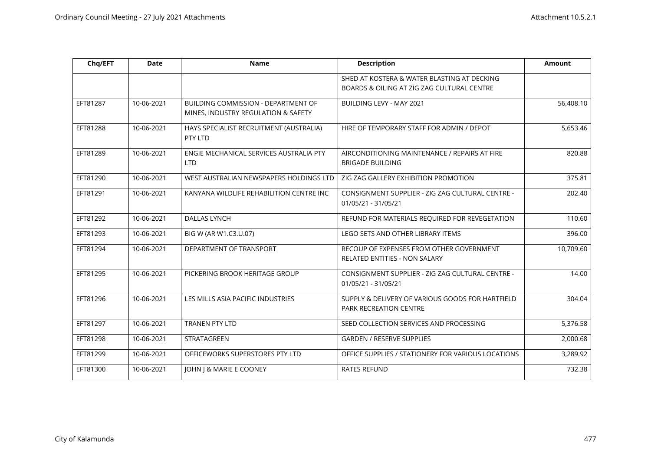| Chq/EFT  | <b>Date</b> | <b>Name</b>                                                                | <b>Description</b>                                                               | <b>Amount</b> |
|----------|-------------|----------------------------------------------------------------------------|----------------------------------------------------------------------------------|---------------|
|          |             |                                                                            | SHED AT KOSTERA & WATER BLASTING AT DECKING                                      |               |
|          |             |                                                                            | BOARDS & OILING AT ZIG ZAG CULTURAL CENTRE                                       |               |
| EFT81287 | 10-06-2021  | BUILDING COMMISSION - DEPARTMENT OF<br>MINES, INDUSTRY REGULATION & SAFETY | <b>BUILDING LEVY - MAY 2021</b>                                                  | 56,408.10     |
| EFT81288 | 10-06-2021  | HAYS SPECIALIST RECRUITMENT (AUSTRALIA)<br>PTY LTD                         | HIRE OF TEMPORARY STAFF FOR ADMIN / DEPOT                                        | 5,653.46      |
| EFT81289 | 10-06-2021  | ENGIE MECHANICAL SERVICES AUSTRALIA PTY<br><b>LTD</b>                      | AIRCONDITIONING MAINTENANCE / REPAIRS AT FIRE<br><b>BRIGADE BUILDING</b>         | 820.88        |
| EFT81290 | 10-06-2021  | WEST AUSTRALIAN NEWSPAPERS HOLDINGS LTD                                    | ZIG ZAG GALLERY EXHIBITION PROMOTION                                             | 375.81        |
| EFT81291 | 10-06-2021  | KANYANA WILDLIFE REHABILITION CENTRE INC                                   | CONSIGNMENT SUPPLIER - ZIG ZAG CULTURAL CENTRE -<br>01/05/21 - 31/05/21          | 202.40        |
| EFT81292 | 10-06-2021  | <b>DALLAS LYNCH</b>                                                        | REFUND FOR MATERIALS REQUIRED FOR REVEGETATION                                   | 110.60        |
| EFT81293 | 10-06-2021  | BIG W (AR W1.C3.U.07)                                                      | LEGO SETS AND OTHER LIBRARY ITEMS                                                | 396.00        |
| EFT81294 | 10-06-2021  | DEPARTMENT OF TRANSPORT                                                    | RECOUP OF EXPENSES FROM OTHER GOVERNMENT<br><b>RELATED ENTITIES - NON SALARY</b> | 10,709.60     |
| EFT81295 | 10-06-2021  | PICKERING BROOK HERITAGE GROUP                                             | CONSIGNMENT SUPPLIER - ZIG ZAG CULTURAL CENTRE -<br>01/05/21 - 31/05/21          | 14.00         |
| EFT81296 | 10-06-2021  | LES MILLS ASIA PACIFIC INDUSTRIES                                          | SUPPLY & DELIVERY OF VARIOUS GOODS FOR HARTFIELD<br>PARK RECREATION CENTRE       | 304.04        |
| EFT81297 | 10-06-2021  | <b>TRANEN PTY LTD</b>                                                      | SEED COLLECTION SERVICES AND PROCESSING                                          | 5,376.58      |
| EFT81298 | 10-06-2021  | STRATAGREEN                                                                | <b>GARDEN / RESERVE SUPPLIES</b>                                                 | 2,000.68      |
| EFT81299 | 10-06-2021  | OFFICEWORKS SUPERSTORES PTY LTD                                            | OFFICE SUPPLIES / STATIONERY FOR VARIOUS LOCATIONS                               | 3,289.92      |
| EFT81300 | 10-06-2021  | JOHN J & MARIE E COONEY                                                    | <b>RATES REFUND</b>                                                              | 732.38        |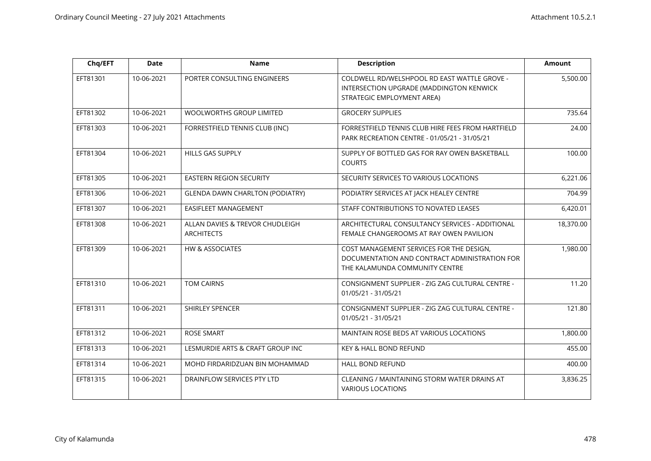| Chq/EFT  | <b>Date</b> | <b>Name</b>                                          | <b>Description</b>                                                                                                          | <b>Amount</b> |
|----------|-------------|------------------------------------------------------|-----------------------------------------------------------------------------------------------------------------------------|---------------|
| EFT81301 | 10-06-2021  | PORTER CONSULTING ENGINEERS                          | COLDWELL RD/WELSHPOOL RD EAST WATTLE GROVE -<br>INTERSECTION UPGRADE (MADDINGTON KENWICK<br>STRATEGIC EMPLOYMENT AREA)      | 5,500.00      |
| EFT81302 | 10-06-2021  | WOOLWORTHS GROUP LIMITED                             | <b>GROCERY SUPPLIES</b>                                                                                                     | 735.64        |
| EFT81303 | 10-06-2021  | FORRESTFIELD TENNIS CLUB (INC)                       | FORRESTFIELD TENNIS CLUB HIRE FEES FROM HARTFIELD<br>PARK RECREATION CENTRE - 01/05/21 - 31/05/21                           | 24.00         |
| EFT81304 | 10-06-2021  | HILLS GAS SUPPLY                                     | SUPPLY OF BOTTLED GAS FOR RAY OWEN BASKETBALL<br><b>COURTS</b>                                                              | 100.00        |
| EFT81305 | 10-06-2021  | <b>EASTERN REGION SECURITY</b>                       | SECURITY SERVICES TO VARIOUS LOCATIONS                                                                                      | 6,221.06      |
| EFT81306 | 10-06-2021  | <b>GLENDA DAWN CHARLTON (PODIATRY)</b>               | PODIATRY SERVICES AT JACK HEALEY CENTRE                                                                                     | 704.99        |
| EFT81307 | 10-06-2021  | EASIFLEET MANAGEMENT                                 | STAFF CONTRIBUTIONS TO NOVATED LEASES                                                                                       | 6,420.01      |
| EFT81308 | 10-06-2021  | ALLAN DAVIES & TREVOR CHUDLEIGH<br><b>ARCHITECTS</b> | ARCHITECTURAL CONSULTANCY SERVICES - ADDITIONAL<br>FEMALE CHANGEROOMS AT RAY OWEN PAVILION                                  | 18,370.00     |
| EFT81309 | 10-06-2021  | <b>HW &amp; ASSOCIATES</b>                           | COST MANAGEMENT SERVICES FOR THE DESIGN,<br>DOCUMENTATION AND CONTRACT ADMINISTRATION FOR<br>THE KALAMUNDA COMMUNITY CENTRE | 1,980.00      |
| EFT81310 | 10-06-2021  | <b>TOM CAIRNS</b>                                    | CONSIGNMENT SUPPLIER - ZIG ZAG CULTURAL CENTRE -<br>01/05/21 - 31/05/21                                                     | 11.20         |
| EFT81311 | 10-06-2021  | SHIRLEY SPENCER                                      | CONSIGNMENT SUPPLIER - ZIG ZAG CULTURAL CENTRE -<br>01/05/21 - 31/05/21                                                     | 121.80        |
| EFT81312 | 10-06-2021  | <b>ROSE SMART</b>                                    | MAINTAIN ROSE BEDS AT VARIOUS LOCATIONS                                                                                     | 1,800.00      |
| EFT81313 | 10-06-2021  | LESMURDIE ARTS & CRAFT GROUP INC                     | <b>KEY &amp; HALL BOND REFUND</b>                                                                                           | 455.00        |
| EFT81314 | 10-06-2021  | MOHD FIRDARIDZUAN BIN MOHAMMAD                       | HALL BOND REFUND                                                                                                            | 400.00        |
| EFT81315 | 10-06-2021  | DRAINFLOW SERVICES PTY LTD                           | CLEANING / MAINTAINING STORM WATER DRAINS AT<br><b>VARIOUS LOCATIONS</b>                                                    | 3,836.25      |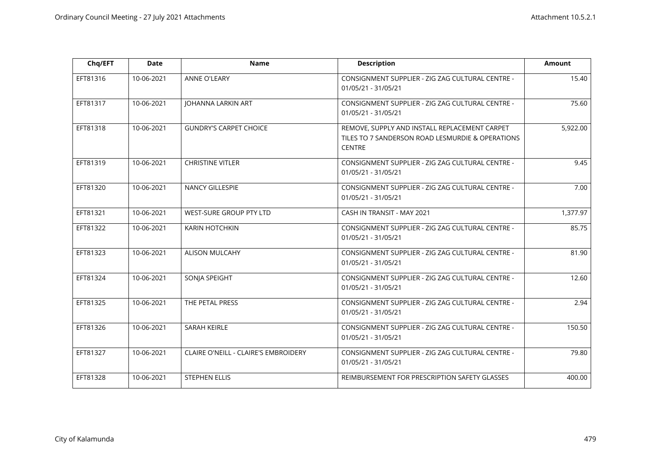| Chq/EFT  | <b>Date</b> | <b>Name</b>                          | <b>Description</b>                                                                                                 | <b>Amount</b> |
|----------|-------------|--------------------------------------|--------------------------------------------------------------------------------------------------------------------|---------------|
| EFT81316 | 10-06-2021  | <b>ANNE O'LEARY</b>                  | CONSIGNMENT SUPPLIER - ZIG ZAG CULTURAL CENTRE -<br>01/05/21 - 31/05/21                                            | 15.40         |
| EFT81317 | 10-06-2021  | <b>JOHANNA LARKIN ART</b>            | CONSIGNMENT SUPPLIER - ZIG ZAG CULTURAL CENTRE -<br>01/05/21 - 31/05/21                                            | 75.60         |
| EFT81318 | 10-06-2021  | <b>GUNDRY'S CARPET CHOICE</b>        | REMOVE, SUPPLY AND INSTALL REPLACEMENT CARPET<br>TILES TO 7 SANDERSON ROAD LESMURDIE & OPERATIONS<br><b>CENTRE</b> | 5,922.00      |
| EFT81319 | 10-06-2021  | <b>CHRISTINE VITLER</b>              | CONSIGNMENT SUPPLIER - ZIG ZAG CULTURAL CENTRE -<br>01/05/21 - 31/05/21                                            | 9.45          |
| EFT81320 | 10-06-2021  | NANCY GILLESPIE                      | CONSIGNMENT SUPPLIER - ZIG ZAG CULTURAL CENTRE -<br>01/05/21 - 31/05/21                                            | 7.00          |
| EFT81321 | 10-06-2021  | WEST-SURE GROUP PTY LTD              | CASH IN TRANSIT - MAY 2021                                                                                         | 1,377.97      |
| EFT81322 | 10-06-2021  | KARIN HOTCHKIN                       | CONSIGNMENT SUPPLIER - ZIG ZAG CULTURAL CENTRE -<br>01/05/21 - 31/05/21                                            | 85.75         |
| EFT81323 | 10-06-2021  | ALISON MULCAHY                       | CONSIGNMENT SUPPLIER - ZIG ZAG CULTURAL CENTRE -<br>01/05/21 - 31/05/21                                            | 81.90         |
| EFT81324 | 10-06-2021  | SONJA SPEIGHT                        | CONSIGNMENT SUPPLIER - ZIG ZAG CULTURAL CENTRE -<br>01/05/21 - 31/05/21                                            | 12.60         |
| EFT81325 | 10-06-2021  | THE PETAL PRESS                      | CONSIGNMENT SUPPLIER - ZIG ZAG CULTURAL CENTRE -<br>01/05/21 - 31/05/21                                            | 2.94          |
| EFT81326 | 10-06-2021  | SARAH KEIRLE                         | CONSIGNMENT SUPPLIER - ZIG ZAG CULTURAL CENTRE -<br>01/05/21 - 31/05/21                                            | 150.50        |
| EFT81327 | 10-06-2021  | CLAIRE O'NEILL - CLAIRE'S EMBROIDERY | CONSIGNMENT SUPPLIER - ZIG ZAG CULTURAL CENTRE -<br>01/05/21 - 31/05/21                                            | 79.80         |
| EFT81328 | 10-06-2021  | <b>STEPHEN ELLIS</b>                 | REIMBURSEMENT FOR PRESCRIPTION SAFETY GLASSES                                                                      | 400.00        |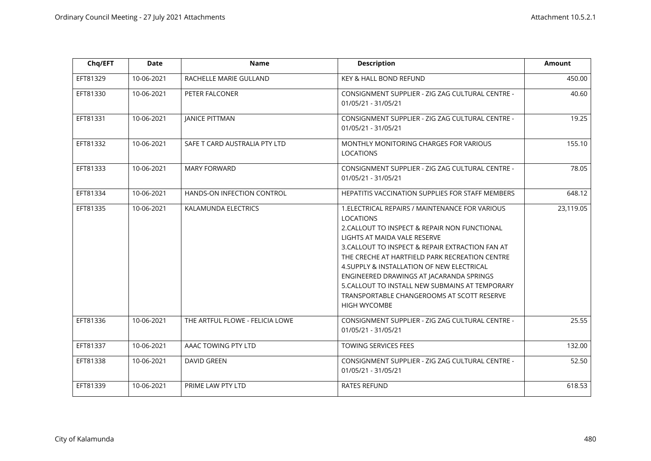| Chq/EFT  | <b>Date</b> | <b>Name</b>                     | <b>Description</b>                                                                                                                                                                                                                                                                                                                                                                                                                                                           | Amount    |
|----------|-------------|---------------------------------|------------------------------------------------------------------------------------------------------------------------------------------------------------------------------------------------------------------------------------------------------------------------------------------------------------------------------------------------------------------------------------------------------------------------------------------------------------------------------|-----------|
| EFT81329 | 10-06-2021  | RACHELLE MARIE GULLAND          | KEY & HALL BOND REFUND                                                                                                                                                                                                                                                                                                                                                                                                                                                       | 450.00    |
| EFT81330 | 10-06-2021  | PETER FALCONER                  | CONSIGNMENT SUPPLIER - ZIG ZAG CULTURAL CENTRE -<br>01/05/21 - 31/05/21                                                                                                                                                                                                                                                                                                                                                                                                      | 40.60     |
| EFT81331 | 10-06-2021  | <b>JANICE PITTMAN</b>           | CONSIGNMENT SUPPLIER - ZIG ZAG CULTURAL CENTRE -<br>01/05/21 - 31/05/21                                                                                                                                                                                                                                                                                                                                                                                                      | 19.25     |
| EFT81332 | 10-06-2021  | SAFE T CARD AUSTRALIA PTY LTD   | MONTHLY MONITORING CHARGES FOR VARIOUS<br><b>LOCATIONS</b>                                                                                                                                                                                                                                                                                                                                                                                                                   | 155.10    |
| EFT81333 | 10-06-2021  | <b>MARY FORWARD</b>             | CONSIGNMENT SUPPLIER - ZIG ZAG CULTURAL CENTRE -<br>01/05/21 - 31/05/21                                                                                                                                                                                                                                                                                                                                                                                                      | 78.05     |
| EFT81334 | 10-06-2021  | HANDS-ON INFECTION CONTROL      | HEPATITIS VACCINATION SUPPLIES FOR STAFF MEMBERS                                                                                                                                                                                                                                                                                                                                                                                                                             | 648.12    |
| EFT81335 | 10-06-2021  | KALAMUNDA ELECTRICS             | 1. ELECTRICAL REPAIRS / MAINTENANCE FOR VARIOUS<br><b>LOCATIONS</b><br>2. CALLOUT TO INSPECT & REPAIR NON FUNCTIONAL<br>LIGHTS AT MAIDA VALE RESERVE<br>3. CALLOUT TO INSPECT & REPAIR EXTRACTION FAN AT<br>THE CRECHE AT HARTFIELD PARK RECREATION CENTRE<br>4. SUPPLY & INSTALLATION OF NEW ELECTRICAL<br>ENGINEERED DRAWINGS AT JACARANDA SPRINGS<br>5. CALLOUT TO INSTALL NEW SUBMAINS AT TEMPORARY<br>TRANSPORTABLE CHANGEROOMS AT SCOTT RESERVE<br><b>HIGH WYCOMBE</b> | 23,119.05 |
| EFT81336 | 10-06-2021  | THE ARTFUL FLOWE - FELICIA LOWE | CONSIGNMENT SUPPLIER - ZIG ZAG CULTURAL CENTRE -<br>01/05/21 - 31/05/21                                                                                                                                                                                                                                                                                                                                                                                                      | 25.55     |
| EFT81337 | 10-06-2021  | AAAC TOWING PTY LTD             | TOWING SERVICES FEES                                                                                                                                                                                                                                                                                                                                                                                                                                                         | 132.00    |
| EFT81338 | 10-06-2021  | <b>DAVID GREEN</b>              | CONSIGNMENT SUPPLIER - ZIG ZAG CULTURAL CENTRE -<br>01/05/21 - 31/05/21                                                                                                                                                                                                                                                                                                                                                                                                      | 52.50     |
| EFT81339 | 10-06-2021  | PRIME LAW PTY LTD               | <b>RATES REFUND</b>                                                                                                                                                                                                                                                                                                                                                                                                                                                          | 618.53    |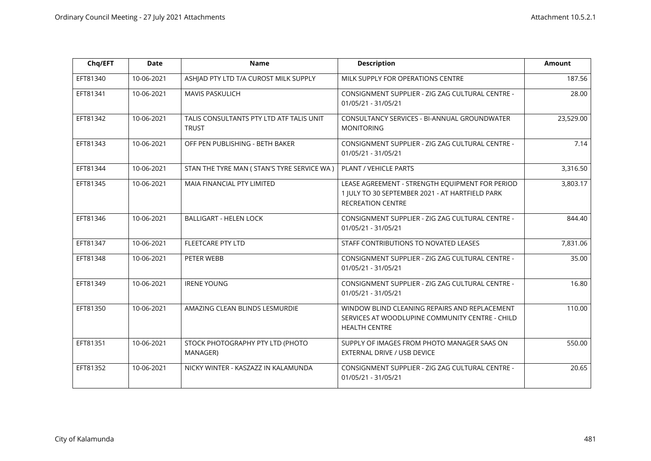| Chq/EFT  | <b>Date</b> | <b>Name</b>                                              | <b>Description</b>                                                                                                             | <b>Amount</b> |
|----------|-------------|----------------------------------------------------------|--------------------------------------------------------------------------------------------------------------------------------|---------------|
| EFT81340 | 10-06-2021  | ASHJAD PTY LTD T/A CUROST MILK SUPPLY                    | MILK SUPPLY FOR OPERATIONS CENTRE                                                                                              | 187.56        |
| EFT81341 | 10-06-2021  | <b>MAVIS PASKULICH</b>                                   | CONSIGNMENT SUPPLIER - ZIG ZAG CULTURAL CENTRE -<br>01/05/21 - 31/05/21                                                        | 28.00         |
| EFT81342 | 10-06-2021  | TALIS CONSULTANTS PTY LTD ATF TALIS UNIT<br><b>TRUST</b> | CONSULTANCY SERVICES - BI-ANNUAL GROUNDWATER<br><b>MONITORING</b>                                                              | 23,529.00     |
| EFT81343 | 10-06-2021  | OFF PEN PUBLISHING - BETH BAKER                          | CONSIGNMENT SUPPLIER - ZIG ZAG CULTURAL CENTRE -<br>01/05/21 - 31/05/21                                                        | 7.14          |
| EFT81344 | 10-06-2021  | STAN THE TYRE MAN ( STAN'S TYRE SERVICE WA )             | PLANT / VEHICLE PARTS                                                                                                          | 3,316.50      |
| EFT81345 | 10-06-2021  | MAIA FINANCIAL PTY LIMITED                               | LEASE AGREEMENT - STRENGTH EQUIPMENT FOR PERIOD<br>1 JULY TO 30 SEPTEMBER 2021 - AT HARTFIELD PARK<br><b>RECREATION CENTRE</b> | 3,803.17      |
| EFT81346 | 10-06-2021  | <b>BALLIGART - HELEN LOCK</b>                            | CONSIGNMENT SUPPLIER - ZIG ZAG CULTURAL CENTRE -<br>01/05/21 - 31/05/21                                                        | 844.40        |
| EFT81347 | 10-06-2021  | FLEETCARE PTY LTD                                        | STAFF CONTRIBUTIONS TO NOVATED LEASES                                                                                          | 7,831.06      |
| EFT81348 | 10-06-2021  | PETER WEBB                                               | CONSIGNMENT SUPPLIER - ZIG ZAG CULTURAL CENTRE -<br>01/05/21 - 31/05/21                                                        | 35.00         |
| EFT81349 | 10-06-2021  | <b>IRENE YOUNG</b>                                       | CONSIGNMENT SUPPLIER - ZIG ZAG CULTURAL CENTRE -<br>01/05/21 - 31/05/21                                                        | 16.80         |
| EFT81350 | 10-06-2021  | AMAZING CLEAN BLINDS LESMURDIE                           | WINDOW BLIND CLEANING REPAIRS AND REPLACEMENT<br>SERVICES AT WOODLUPINE COMMUNITY CENTRE - CHILD<br><b>HEALTH CENTRE</b>       | 110.00        |
| EFT81351 | 10-06-2021  | STOCK PHOTOGRAPHY PTY LTD (PHOTO<br>MANAGER)             | SUPPLY OF IMAGES FROM PHOTO MANAGER SAAS ON<br>EXTERNAL DRIVE / USB DEVICE                                                     | 550.00        |
| EFT81352 | 10-06-2021  | NICKY WINTER - KASZAZZ IN KALAMUNDA                      | CONSIGNMENT SUPPLIER - ZIG ZAG CULTURAL CENTRE -<br>01/05/21 - 31/05/21                                                        | 20.65         |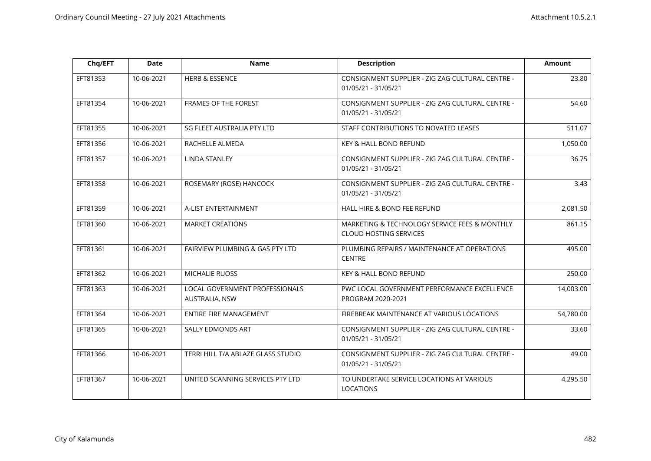| Chq/EFT  | <b>Date</b> | <b>Name</b>                                      | <b>Description</b>                                                             | <b>Amount</b> |
|----------|-------------|--------------------------------------------------|--------------------------------------------------------------------------------|---------------|
| EFT81353 | 10-06-2021  | <b>HERB &amp; ESSENCE</b>                        | CONSIGNMENT SUPPLIER - ZIG ZAG CULTURAL CENTRE -<br>01/05/21 - 31/05/21        | 23.80         |
| EFT81354 | 10-06-2021  | FRAMES OF THE FOREST                             | CONSIGNMENT SUPPLIER - ZIG ZAG CULTURAL CENTRE -<br>01/05/21 - 31/05/21        | 54.60         |
| EFT81355 | 10-06-2021  | SG FLEET AUSTRALIA PTY LTD                       | STAFF CONTRIBUTIONS TO NOVATED LEASES                                          | 511.07        |
| EFT81356 | 10-06-2021  | RACHELLE ALMEDA                                  | KEY & HALL BOND REFUND                                                         | 1,050.00      |
| EFT81357 | 10-06-2021  | <b>LINDA STANLEY</b>                             | CONSIGNMENT SUPPLIER - ZIG ZAG CULTURAL CENTRE -<br>01/05/21 - 31/05/21        | 36.75         |
| EFT81358 | 10-06-2021  | ROSEMARY (ROSE) HANCOCK                          | CONSIGNMENT SUPPLIER - ZIG ZAG CULTURAL CENTRE -<br>01/05/21 - 31/05/21        | 3.43          |
| EFT81359 | 10-06-2021  | A-LIST ENTERTAINMENT                             | HALL HIRE & BOND FEE REFUND                                                    | 2,081.50      |
| EFT81360 | 10-06-2021  | <b>MARKET CREATIONS</b>                          | MARKETING & TECHNOLOGY SERVICE FEES & MONTHLY<br><b>CLOUD HOSTING SERVICES</b> | 861.15        |
| EFT81361 | 10-06-2021  | FAIRVIEW PLUMBING & GAS PTY LTD                  | PLUMBING REPAIRS / MAINTENANCE AT OPERATIONS<br><b>CENTRE</b>                  | 495.00        |
| EFT81362 | 10-06-2021  | <b>MICHALIE RUOSS</b>                            | KEY & HALL BOND REFUND                                                         | 250.00        |
| EFT81363 | 10-06-2021  | LOCAL GOVERNMENT PROFESSIONALS<br>AUSTRALIA, NSW | PWC LOCAL GOVERNMENT PERFORMANCE EXCELLENCE<br>PROGRAM 2020-2021               | 14,003.00     |
| EFT81364 | 10-06-2021  | ENTIRE FIRE MANAGEMENT                           | FIREBREAK MAINTENANCE AT VARIOUS LOCATIONS                                     | 54,780.00     |
| EFT81365 | 10-06-2021  | SALLY EDMONDS ART                                | CONSIGNMENT SUPPLIER - ZIG ZAG CULTURAL CENTRE -<br>01/05/21 - 31/05/21        | 33.60         |
| EFT81366 | 10-06-2021  | TERRI HILL T/A ABLAZE GLASS STUDIO               | CONSIGNMENT SUPPLIER - ZIG ZAG CULTURAL CENTRE -<br>01/05/21 - 31/05/21        | 49.00         |
| EFT81367 | 10-06-2021  | UNITED SCANNING SERVICES PTY LTD                 | TO UNDERTAKE SERVICE LOCATIONS AT VARIOUS<br><b>LOCATIONS</b>                  | 4,295.50      |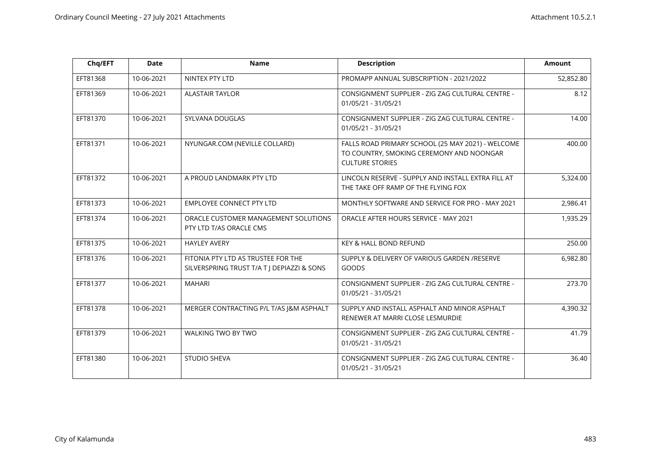| Chq/EFT  | <b>Date</b> | <b>Name</b>                                                                      | <b>Description</b>                                                                                                      | <b>Amount</b> |
|----------|-------------|----------------------------------------------------------------------------------|-------------------------------------------------------------------------------------------------------------------------|---------------|
| EFT81368 | 10-06-2021  | NINTEX PTY LTD                                                                   | PROMAPP ANNUAL SUBSCRIPTION - 2021/2022                                                                                 | 52,852.80     |
| EFT81369 | 10-06-2021  | <b>ALASTAIR TAYLOR</b>                                                           | CONSIGNMENT SUPPLIER - ZIG ZAG CULTURAL CENTRE -<br>01/05/21 - 31/05/21                                                 | 8.12          |
| EFT81370 | 10-06-2021  | SYLVANA DOUGLAS                                                                  | CONSIGNMENT SUPPLIER - ZIG ZAG CULTURAL CENTRE -<br>01/05/21 - 31/05/21                                                 | 14.00         |
| EFT81371 | 10-06-2021  | NYUNGAR.COM (NEVILLE COLLARD)                                                    | FALLS ROAD PRIMARY SCHOOL (25 MAY 2021) - WELCOME<br>TO COUNTRY, SMOKING CEREMONY AND NOONGAR<br><b>CULTURE STORIES</b> | 400.00        |
| EFT81372 | 10-06-2021  | A PROUD LANDMARK PTY LTD                                                         | LINCOLN RESERVE - SUPPLY AND INSTALL EXTRA FILL AT<br>THE TAKE OFF RAMP OF THE FLYING FOX                               | 5,324.00      |
| EFT81373 | 10-06-2021  | <b>EMPLOYEE CONNECT PTY LTD</b>                                                  | MONTHLY SOFTWARE AND SERVICE FOR PRO - MAY 2021                                                                         | 2,986.41      |
| EFT81374 | 10-06-2021  | ORACLE CUSTOMER MANAGEMENT SOLUTIONS<br>PTY LTD T/AS ORACLE CMS                  | ORACLE AFTER HOURS SERVICE - MAY 2021                                                                                   | 1,935.29      |
| EFT81375 | 10-06-2021  | <b>HAYLEY AVERY</b>                                                              | KEY & HALL BOND REFUND                                                                                                  | 250.00        |
| EFT81376 | 10-06-2021  | FITONIA PTY LTD AS TRUSTEE FOR THE<br>SILVERSPRING TRUST T/A T   DEPIAZZI & SONS | SUPPLY & DELIVERY OF VARIOUS GARDEN /RESERVE<br><b>GOODS</b>                                                            | 6,982.80      |
| EFT81377 | 10-06-2021  | <b>MAHARI</b>                                                                    | CONSIGNMENT SUPPLIER - ZIG ZAG CULTURAL CENTRE -<br>01/05/21 - 31/05/21                                                 | 273.70        |
| EFT81378 | 10-06-2021  | MERGER CONTRACTING P/L T/AS J&M ASPHALT                                          | SUPPLY AND INSTALL ASPHALT AND MINOR ASPHALT<br>RENEWER AT MARRI CLOSE LESMURDIE                                        | 4,390.32      |
| EFT81379 | 10-06-2021  | WALKING TWO BY TWO                                                               | CONSIGNMENT SUPPLIER - ZIG ZAG CULTURAL CENTRE -<br>01/05/21 - 31/05/21                                                 | 41.79         |
| EFT81380 | 10-06-2021  | <b>STUDIO SHEVA</b>                                                              | CONSIGNMENT SUPPLIER - ZIG ZAG CULTURAL CENTRE -<br>01/05/21 - 31/05/21                                                 | 36.40         |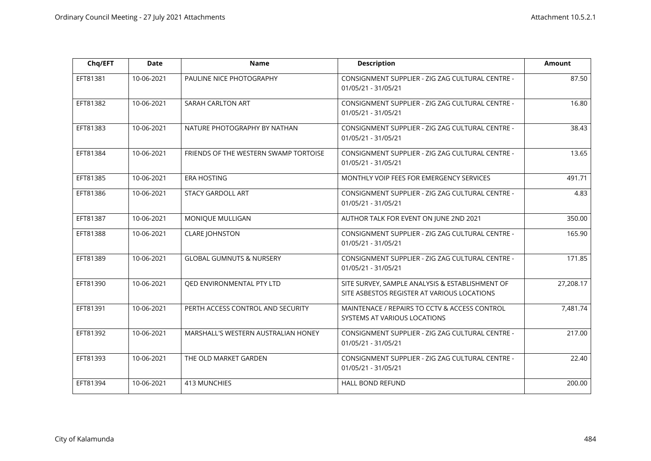| Chq/EFT  | <b>Date</b> | <b>Name</b>                           | <b>Description</b>                                                                             | <b>Amount</b> |
|----------|-------------|---------------------------------------|------------------------------------------------------------------------------------------------|---------------|
| EFT81381 | 10-06-2021  | PAULINE NICE PHOTOGRAPHY              | CONSIGNMENT SUPPLIER - ZIG ZAG CULTURAL CENTRE -<br>01/05/21 - 31/05/21                        | 87.50         |
| EFT81382 | 10-06-2021  | SARAH CARLTON ART                     | CONSIGNMENT SUPPLIER - ZIG ZAG CULTURAL CENTRE -<br>01/05/21 - 31/05/21                        | 16.80         |
| EFT81383 | 10-06-2021  | NATURE PHOTOGRAPHY BY NATHAN          | CONSIGNMENT SUPPLIER - ZIG ZAG CULTURAL CENTRE -<br>01/05/21 - 31/05/21                        | 38.43         |
| EFT81384 | 10-06-2021  | FRIENDS OF THE WESTERN SWAMP TORTOISE | CONSIGNMENT SUPPLIER - ZIG ZAG CULTURAL CENTRE -<br>01/05/21 - 31/05/21                        | 13.65         |
| EFT81385 | 10-06-2021  | <b>ERA HOSTING</b>                    | MONTHLY VOIP FEES FOR EMERGENCY SERVICES                                                       | 491.71        |
| EFT81386 | 10-06-2021  | <b>STACY GARDOLL ART</b>              | CONSIGNMENT SUPPLIER - ZIG ZAG CULTURAL CENTRE -<br>01/05/21 - 31/05/21                        | 4.83          |
| EFT81387 | 10-06-2021  | MONIQUE MULLIGAN                      | AUTHOR TALK FOR EVENT ON JUNE 2ND 2021                                                         | 350.00        |
| EFT81388 | 10-06-2021  | <b>CLARE JOHNSTON</b>                 | CONSIGNMENT SUPPLIER - ZIG ZAG CULTURAL CENTRE -<br>01/05/21 - 31/05/21                        | 165.90        |
| EFT81389 | 10-06-2021  | <b>GLOBAL GUMNUTS &amp; NURSERY</b>   | CONSIGNMENT SUPPLIER - ZIG ZAG CULTURAL CENTRE -<br>01/05/21 - 31/05/21                        | 171.85        |
| EFT81390 | 10-06-2021  | QED ENVIRONMENTAL PTY LTD             | SITE SURVEY, SAMPLE ANALYSIS & ESTABLISHMENT OF<br>SITE ASBESTOS REGISTER AT VARIOUS LOCATIONS | 27,208.17     |
| EFT81391 | 10-06-2021  | PERTH ACCESS CONTROL AND SECURITY     | MAINTENACE / REPAIRS TO CCTV & ACCESS CONTROL<br>SYSTEMS AT VARIOUS LOCATIONS                  | 7,481.74      |
| EFT81392 | 10-06-2021  | MARSHALL'S WESTERN AUSTRALIAN HONEY   | CONSIGNMENT SUPPLIER - ZIG ZAG CULTURAL CENTRE -<br>01/05/21 - 31/05/21                        | 217.00        |
| EFT81393 | 10-06-2021  | THE OLD MARKET GARDEN                 | CONSIGNMENT SUPPLIER - ZIG ZAG CULTURAL CENTRE -<br>01/05/21 - 31/05/21                        | 22.40         |
| EFT81394 | 10-06-2021  | <b>413 MUNCHIES</b>                   | <b>HALL BOND REFUND</b>                                                                        | 200.00        |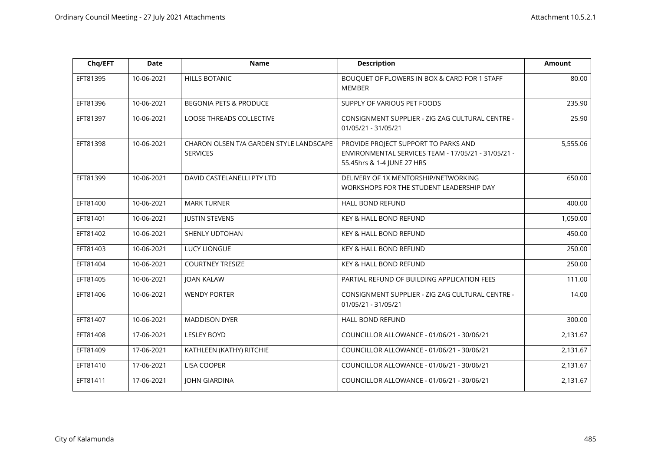| Chq/EFT  | <b>Date</b> | <b>Name</b>                                                | <b>Description</b>                                                                                                        | <b>Amount</b> |
|----------|-------------|------------------------------------------------------------|---------------------------------------------------------------------------------------------------------------------------|---------------|
| EFT81395 | 10-06-2021  | <b>HILLS BOTANIC</b>                                       | BOUQUET OF FLOWERS IN BOX & CARD FOR 1 STAFF<br><b>MEMBER</b>                                                             | 80.00         |
| EFT81396 | 10-06-2021  | <b>BEGONIA PETS &amp; PRODUCE</b>                          | SUPPLY OF VARIOUS PET FOODS                                                                                               | 235.90        |
| EFT81397 | 10-06-2021  | <b>LOOSE THREADS COLLECTIVE</b>                            | CONSIGNMENT SUPPLIER - ZIG ZAG CULTURAL CENTRE -<br>01/05/21 - 31/05/21                                                   | 25.90         |
| EFT81398 | 10-06-2021  | CHARON OLSEN T/A GARDEN STYLE LANDSCAPE<br><b>SERVICES</b> | PROVIDE PROJECT SUPPORT TO PARKS AND<br>ENVIRONMENTAL SERVICES TEAM - 17/05/21 - 31/05/21 -<br>55.45hrs & 1-4 JUNE 27 HRS | 5,555.06      |
| EFT81399 | 10-06-2021  | DAVID CASTELANELLI PTY LTD                                 | DELIVERY OF 1X MENTORSHIP/NETWORKING<br>WORKSHOPS FOR THE STUDENT LEADERSHIP DAY                                          | 650.00        |
| EFT81400 | 10-06-2021  | <b>MARK TURNER</b>                                         | HALL BOND REFUND                                                                                                          | 400.00        |
| EFT81401 | 10-06-2021  | <b>JUSTIN STEVENS</b>                                      | KEY & HALL BOND REFUND                                                                                                    | 1,050.00      |
| EFT81402 | 10-06-2021  | SHENLY UDTOHAN                                             | KEY & HALL BOND REFUND                                                                                                    | 450.00        |
| EFT81403 | 10-06-2021  | <b>LUCY LIONGUE</b>                                        | KEY & HALL BOND REFUND                                                                                                    | 250.00        |
| EFT81404 | 10-06-2021  | <b>COURTNEY TRESIZE</b>                                    | KEY & HALL BOND REFUND                                                                                                    | 250.00        |
| EFT81405 | 10-06-2021  | <b>JOAN KALAW</b>                                          | PARTIAL REFUND OF BUILDING APPLICATION FEES                                                                               | 111.00        |
| EFT81406 | 10-06-2021  | <b>WENDY PORTER</b>                                        | CONSIGNMENT SUPPLIER - ZIG ZAG CULTURAL CENTRE -<br>01/05/21 - 31/05/21                                                   | 14.00         |
| EFT81407 | 10-06-2021  | <b>MADDISON DYER</b>                                       | <b>HALL BOND REFUND</b>                                                                                                   | 300.00        |
| EFT81408 | 17-06-2021  | <b>LESLEY BOYD</b>                                         | COUNCILLOR ALLOWANCE - 01/06/21 - 30/06/21                                                                                | 2,131.67      |
| EFT81409 | 17-06-2021  | KATHLEEN (KATHY) RITCHIE                                   | COUNCILLOR ALLOWANCE - 01/06/21 - 30/06/21                                                                                | 2,131.67      |
| EFT81410 | 17-06-2021  | LISA COOPER                                                | COUNCILLOR ALLOWANCE - 01/06/21 - 30/06/21                                                                                | 2,131.67      |
| EFT81411 | 17-06-2021  | <b>JOHN GIARDINA</b>                                       | COUNCILLOR ALLOWANCE - 01/06/21 - 30/06/21                                                                                | 2,131.67      |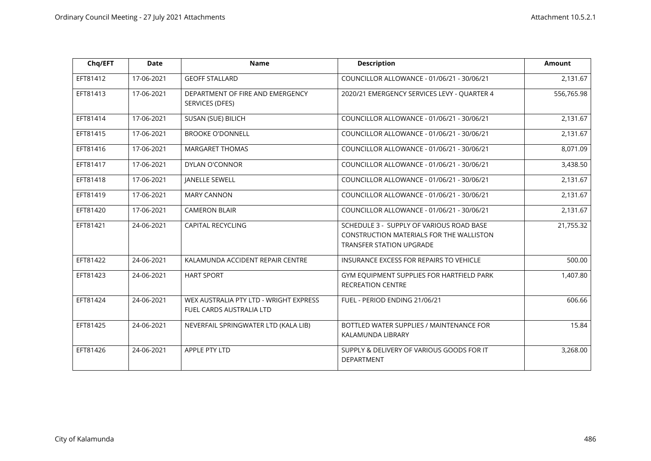| Chq/EFT  | <b>Date</b> | <b>Name</b>                                                        | <b>Description</b>                                                                                                             | <b>Amount</b> |
|----------|-------------|--------------------------------------------------------------------|--------------------------------------------------------------------------------------------------------------------------------|---------------|
| EFT81412 | 17-06-2021  | <b>GEOFF STALLARD</b>                                              | COUNCILLOR ALLOWANCE - 01/06/21 - 30/06/21                                                                                     | 2,131.67      |
| EFT81413 | 17-06-2021  | DEPARTMENT OF FIRE AND EMERGENCY<br>SERVICES (DFES)                | 2020/21 EMERGENCY SERVICES LEVY - QUARTER 4                                                                                    | 556,765.98    |
| EFT81414 | 17-06-2021  | SUSAN (SUE) BILICH                                                 | COUNCILLOR ALLOWANCE - 01/06/21 - 30/06/21                                                                                     | 2,131.67      |
| EFT81415 | 17-06-2021  | <b>BROOKE O'DONNELL</b>                                            | COUNCILLOR ALLOWANCE - 01/06/21 - 30/06/21                                                                                     | 2,131.67      |
| EFT81416 | 17-06-2021  | <b>MARGARET THOMAS</b>                                             | COUNCILLOR ALLOWANCE - 01/06/21 - 30/06/21                                                                                     | 8,071.09      |
| EFT81417 | 17-06-2021  | <b>DYLAN O'CONNOR</b>                                              | COUNCILLOR ALLOWANCE - 01/06/21 - 30/06/21                                                                                     | 3,438.50      |
| EFT81418 | 17-06-2021  | <b>JANELLE SEWELL</b>                                              | COUNCILLOR ALLOWANCE - 01/06/21 - 30/06/21                                                                                     | 2,131.67      |
| EFT81419 | 17-06-2021  | <b>MARY CANNON</b>                                                 | COUNCILLOR ALLOWANCE - 01/06/21 - 30/06/21                                                                                     | 2,131.67      |
| EFT81420 | 17-06-2021  | <b>CAMERON BLAIR</b>                                               | COUNCILLOR ALLOWANCE - 01/06/21 - 30/06/21                                                                                     | 2,131.67      |
| EFT81421 | 24-06-2021  | <b>CAPITAL RECYCLING</b>                                           | SCHEDULE 3 - SUPPLY OF VARIOUS ROAD BASE<br><b>CONSTRUCTION MATERIALS FOR THE WALLISTON</b><br><b>TRANSFER STATION UPGRADE</b> | 21,755.32     |
| EFT81422 | 24-06-2021  | KALAMUNDA ACCIDENT REPAIR CENTRE                                   | INSURANCE EXCESS FOR REPAIRS TO VEHICLE                                                                                        | 500.00        |
| EFT81423 | 24-06-2021  | <b>HART SPORT</b>                                                  | GYM EQUIPMENT SUPPLIES FOR HARTFIELD PARK<br>RECREATION CENTRE                                                                 | 1,407.80      |
| EFT81424 | 24-06-2021  | WEX AUSTRALIA PTY LTD - WRIGHT EXPRESS<br>FUEL CARDS AUSTRALIA LTD | FUEL - PERIOD ENDING 21/06/21                                                                                                  | 606.66        |
| EFT81425 | 24-06-2021  | NEVERFAIL SPRINGWATER LTD (KALA LIB)                               | BOTTLED WATER SUPPLIES / MAINTENANCE FOR<br>KALAMUNDA LIBRARY                                                                  | 15.84         |
| EFT81426 | 24-06-2021  | APPLE PTY LTD                                                      | SUPPLY & DELIVERY OF VARIOUS GOODS FOR IT<br>DEPARTMENT                                                                        | 3,268.00      |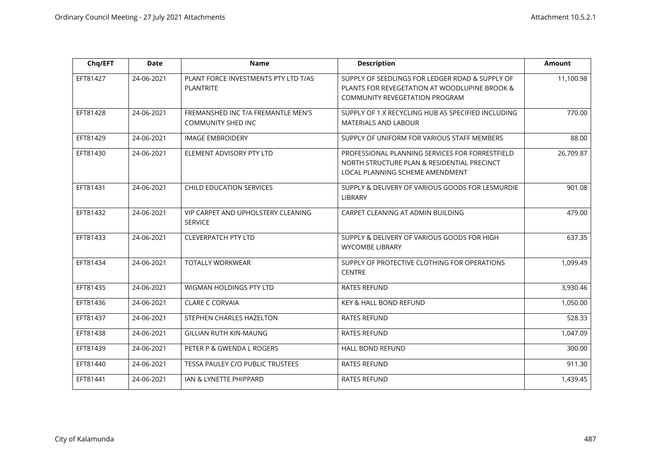| Chq/EFT  | <b>Date</b> | <b>Name</b>                                                     | <b>Description</b>                                                                                                                        | <b>Amount</b> |
|----------|-------------|-----------------------------------------------------------------|-------------------------------------------------------------------------------------------------------------------------------------------|---------------|
| EFT81427 | 24-06-2021  | PLANT FORCE INVESTMENTS PTY LTD T/AS<br><b>PLANTRITE</b>        | SUPPLY OF SEEDLINGS FOR LEDGER ROAD & SUPPLY OF<br>PLANTS FOR REVEGETATION AT WOODLUPINE BROOK &<br><b>COMMUNITY REVEGETATION PROGRAM</b> | 11,100.98     |
| EFT81428 | 24-06-2021  | FREMANSHED INC T/A FREMANTLE MEN'S<br><b>COMMUNITY SHED INC</b> | SUPPLY OF 1 X RECYCLING HUB AS SPECIFIED INCLUDING<br><b>MATERIALS AND LABOUR</b>                                                         | 770.00        |
| EFT81429 | 24-06-2021  | <b>IMAGE EMBROIDERY</b>                                         | SUPPLY OF UNIFORM FOR VARIOUS STAFF MEMBERS                                                                                               | 88.00         |
| EFT81430 | 24-06-2021  | ELEMENT ADVISORY PTY LTD                                        | PROFESSIONAL PLANNING SERVICES FOR FORRESTFIELD<br>NORTH STRUCTURE PLAN & RESIDENTIAL PRECINCT<br>LOCAL PLANNING SCHEME AMENDMENT         | 26,709.87     |
| EFT81431 | 24-06-2021  | <b>CHILD EDUCATION SERVICES</b>                                 | SUPPLY & DELIVERY OF VARIOUS GOODS FOR LESMURDIE<br>LIBRARY                                                                               | 901.08        |
| EFT81432 | 24-06-2021  | VIP CARPET AND UPHOLSTERY CLEANING<br><b>SERVICE</b>            | CARPET CLEANING AT ADMIN BUILDING                                                                                                         | 479.00        |
| EFT81433 | 24-06-2021  | <b>CLEVERPATCH PTY LTD</b>                                      | SUPPLY & DELIVERY OF VARIOUS GOODS FOR HIGH<br><b>WYCOMBE LIBRARY</b>                                                                     | 637.35        |
| EFT81434 | 24-06-2021  | <b>TOTALLY WORKWEAR</b>                                         | SUPPLY OF PROTECTIVE CLOTHING FOR OPERATIONS<br><b>CENTRE</b>                                                                             | 1,099.49      |
| EFT81435 | 24-06-2021  | WIGMAN HOLDINGS PTY LTD                                         | <b>RATES REFUND</b>                                                                                                                       | 3,930.46      |
| EFT81436 | 24-06-2021  | <b>CLARE C CORVAIA</b>                                          | <b>KEY &amp; HALL BOND REFUND</b>                                                                                                         | 1,050.00      |
| EFT81437 | 24-06-2021  | STEPHEN CHARLES HAZELTON                                        | <b>RATES REFUND</b>                                                                                                                       | 528.33        |
| EFT81438 | 24-06-2021  | <b>GILLIAN RUTH KIN-MAUNG</b>                                   | <b>RATES REFUND</b>                                                                                                                       | 1,047.09      |
| EFT81439 | 24-06-2021  | PETER P & GWENDA L ROGERS                                       | <b>HALL BOND REFUND</b>                                                                                                                   | 300.00        |
| EFT81440 | 24-06-2021  | TESSA PAULEY C/O PUBLIC TRUSTEES                                | <b>RATES REFUND</b>                                                                                                                       | 911.30        |
| EFT81441 | 24-06-2021  | IAN & LYNETTE PHIPPARD                                          | <b>RATES REFUND</b>                                                                                                                       | 1,439.45      |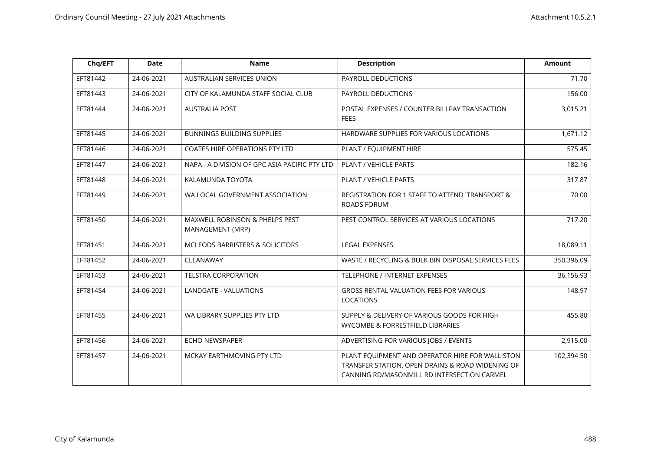| Chq/EFT  | <b>Date</b> | <b>Name</b>                                        | <b>Description</b>                                                                                                                                 | <b>Amount</b> |
|----------|-------------|----------------------------------------------------|----------------------------------------------------------------------------------------------------------------------------------------------------|---------------|
| EFT81442 | 24-06-2021  | AUSTRALIAN SERVICES UNION                          | PAYROLL DEDUCTIONS                                                                                                                                 | 71.70         |
| EFT81443 | 24-06-2021  | CITY OF KALAMUNDA STAFF SOCIAL CLUB                | PAYROLL DEDUCTIONS                                                                                                                                 | 156.00        |
| EFT81444 | 24-06-2021  | <b>AUSTRALIA POST</b>                              | POSTAL EXPENSES / COUNTER BILLPAY TRANSACTION<br><b>FEES</b>                                                                                       | 3,015.21      |
| EFT81445 | 24-06-2021  | <b>BUNNINGS BUILDING SUPPLIES</b>                  | HARDWARE SUPPLIES FOR VARIOUS LOCATIONS                                                                                                            | 1,671.12      |
| EFT81446 | 24-06-2021  | <b>COATES HIRE OPERATIONS PTY LTD</b>              | PLANT / EQUIPMENT HIRE                                                                                                                             | 575.45        |
| EFT81447 | 24-06-2021  | NAPA - A DIVISION OF GPC ASIA PACIFIC PTY LTD      | PLANT / VEHICLE PARTS                                                                                                                              | 182.16        |
| EFT81448 | 24-06-2021  | KALAMUNDA TOYOTA                                   | PLANT / VEHICLE PARTS                                                                                                                              | 317.87        |
| EFT81449 | 24-06-2021  | WA LOCAL GOVERNMENT ASSOCIATION                    | REGISTRATION FOR 1 STAFF TO ATTEND 'TRANSPORT &<br><b>ROADS FORUM'</b>                                                                             | 70.00         |
| EFT81450 | 24-06-2021  | MAXWELL ROBINSON & PHELPS PEST<br>MANAGEMENT (MRP) | PEST CONTROL SERVICES AT VARIOUS LOCATIONS                                                                                                         | 717.20        |
| EFT81451 | 24-06-2021  | MCLEODS BARRISTERS & SOLICITORS                    | <b>LEGAL EXPENSES</b>                                                                                                                              | 18,089.11     |
| EFT81452 | 24-06-2021  | CLEANAWAY                                          | WASTE / RECYCLING & BULK BIN DISPOSAL SERVICES FEES                                                                                                | 350,396.09    |
| EFT81453 | 24-06-2021  | <b>TELSTRA CORPORATION</b>                         | TELEPHONE / INTERNET EXPENSES                                                                                                                      | 36,156.93     |
| EFT81454 | 24-06-2021  | <b>LANDGATE - VALUATIONS</b>                       | GROSS RENTAL VALUATION FEES FOR VARIOUS<br>LOCATIONS                                                                                               | 148.97        |
| EFT81455 | 24-06-2021  | WA LIBRARY SUPPLIES PTY LTD                        | SUPPLY & DELIVERY OF VARIOUS GOODS FOR HIGH<br>WYCOMBE & FORRESTFIELD LIBRARIES                                                                    | 455.80        |
| EFT81456 | 24-06-2021  | ECHO NEWSPAPER                                     | ADVERTISING FOR VARIOUS JOBS / EVENTS                                                                                                              | 2,915.00      |
| EFT81457 | 24-06-2021  | MCKAY EARTHMOVING PTY LTD                          | PLANT EQUIPMENT AND OPERATOR HIRE FOR WALLISTON<br>TRANSFER STATION, OPEN DRAINS & ROAD WIDENING OF<br>CANNING RD/MASONMILL RD INTERSECTION CARMEL | 102,394.50    |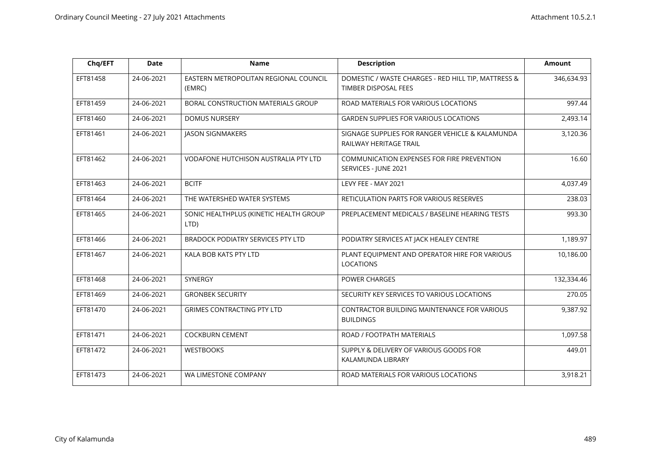| Chq/EFT  | <b>Date</b> | <b>Name</b>                                     | <b>Description</b>                                                          | <b>Amount</b> |
|----------|-------------|-------------------------------------------------|-----------------------------------------------------------------------------|---------------|
| EFT81458 | 24-06-2021  | EASTERN METROPOLITAN REGIONAL COUNCIL<br>(EMRC) | DOMESTIC / WASTE CHARGES - RED HILL TIP, MATTRESS &<br>TIMBER DISPOSAL FEES | 346,634.93    |
| EFT81459 | 24-06-2021  | BORAL CONSTRUCTION MATERIALS GROUP              | ROAD MATERIALS FOR VARIOUS LOCATIONS                                        | 997.44        |
| EFT81460 | 24-06-2021  | <b>DOMUS NURSERY</b>                            | <b>GARDEN SUPPLIES FOR VARIOUS LOCATIONS</b>                                | 2,493.14      |
| EFT81461 | 24-06-2021  | <b>JASON SIGNMAKERS</b>                         | SIGNAGE SUPPLIES FOR RANGER VEHICLE & KALAMUNDA<br>RAILWAY HERITAGE TRAIL   | 3,120.36      |
| EFT81462 | 24-06-2021  | VODAFONE HUTCHISON AUSTRALIA PTY LTD            | COMMUNICATION EXPENSES FOR FIRE PREVENTION<br>SERVICES - JUNE 2021          | 16.60         |
| EFT81463 | 24-06-2021  | <b>BCITF</b>                                    | LEVY FEE - MAY 2021                                                         | 4,037.49      |
| EFT81464 | 24-06-2021  | THE WATERSHED WATER SYSTEMS                     | <b>RETICULATION PARTS FOR VARIOUS RESERVES</b>                              | 238.03        |
| EFT81465 | 24-06-2021  | SONIC HEALTHPLUS (KINETIC HEALTH GROUP<br>LTD)  | PREPLACEMENT MEDICALS / BASELINE HEARING TESTS                              | 993.30        |
| EFT81466 | 24-06-2021  | <b>BRADOCK PODIATRY SERVICES PTY LTD</b>        | PODIATRY SERVICES AT JACK HEALEY CENTRE                                     | 1,189.97      |
| EFT81467 | 24-06-2021  | KALA BOB KATS PTY LTD                           | PLANT EQUIPMENT AND OPERATOR HIRE FOR VARIOUS<br><b>LOCATIONS</b>           | 10,186.00     |
| EFT81468 | 24-06-2021  | <b>SYNERGY</b>                                  | <b>POWER CHARGES</b>                                                        | 132,334.46    |
| EFT81469 | 24-06-2021  | <b>GRONBEK SECURITY</b>                         | SECURITY KEY SERVICES TO VARIOUS LOCATIONS                                  | 270.05        |
| EFT81470 | 24-06-2021  | <b>GRIMES CONTRACTING PTY LTD</b>               | CONTRACTOR BUILDING MAINTENANCE FOR VARIOUS<br><b>BUILDINGS</b>             | 9,387.92      |
| EFT81471 | 24-06-2021  | <b>COCKBURN CEMENT</b>                          | ROAD / FOOTPATH MATERIALS                                                   | 1,097.58      |
| EFT81472 | 24-06-2021  | <b>WESTBOOKS</b>                                | SUPPLY & DELIVERY OF VARIOUS GOODS FOR<br>KALAMUNDA LIBRARY                 | 449.01        |
| EFT81473 | 24-06-2021  | WA LIMESTONE COMPANY                            | ROAD MATERIALS FOR VARIOUS LOCATIONS                                        | 3,918.21      |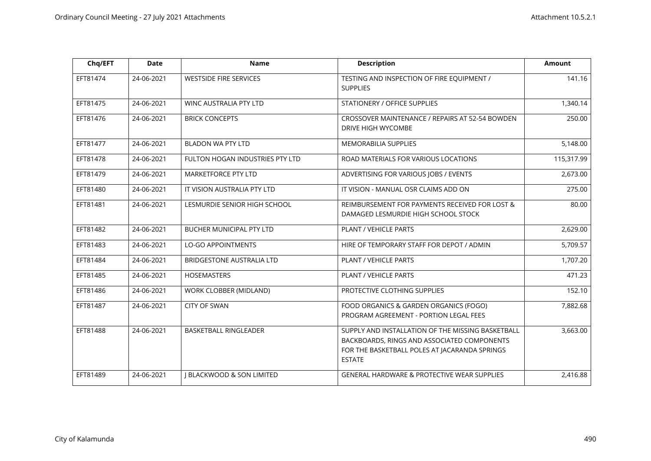| Chq/EFT  | <b>Date</b> | <b>Name</b>                          | <b>Description</b>                                                                                                                                                 | <b>Amount</b> |
|----------|-------------|--------------------------------------|--------------------------------------------------------------------------------------------------------------------------------------------------------------------|---------------|
| EFT81474 | 24-06-2021  | <b>WESTSIDE FIRE SERVICES</b>        | TESTING AND INSPECTION OF FIRE EQUIPMENT /<br><b>SUPPLIES</b>                                                                                                      | 141.16        |
| EFT81475 | 24-06-2021  | WINC AUSTRALIA PTY LTD               | STATIONERY / OFFICE SUPPLIES                                                                                                                                       | 1,340.14      |
| EFT81476 | 24-06-2021  | <b>BRICK CONCEPTS</b>                | CROSSOVER MAINTENANCE / REPAIRS AT 52-54 BOWDEN<br><b>DRIVE HIGH WYCOMBE</b>                                                                                       | 250.00        |
| EFT81477 | 24-06-2021  | BLADON WA PTY LTD                    | <b>MEMORABILIA SUPPLIES</b>                                                                                                                                        | 5,148.00      |
| EFT81478 | 24-06-2021  | FULTON HOGAN INDUSTRIES PTY LTD      | ROAD MATERIALS FOR VARIOUS LOCATIONS                                                                                                                               | 115,317.99    |
| EFT81479 | 24-06-2021  | <b>MARKETFORCE PTY LTD</b>           | ADVERTISING FOR VARIOUS JOBS / EVENTS                                                                                                                              | 2,673.00      |
| EFT81480 | 24-06-2021  | IT VISION AUSTRALIA PTY LTD          | IT VISION - MANUAL OSR CLAIMS ADD ON                                                                                                                               | 275.00        |
| EFT81481 | 24-06-2021  | LESMURDIE SENIOR HIGH SCHOOL         | REIMBURSEMENT FOR PAYMENTS RECEIVED FOR LOST &<br>DAMAGED LESMURDIE HIGH SCHOOL STOCK                                                                              | 80.00         |
| EFT81482 | 24-06-2021  | BUCHER MUNICIPAL PTY LTD             | PLANT / VEHICLE PARTS                                                                                                                                              | 2,629.00      |
| EFT81483 | 24-06-2021  | <b>LO-GO APPOINTMENTS</b>            | HIRE OF TEMPORARY STAFF FOR DEPOT / ADMIN                                                                                                                          | 5,709.57      |
| EFT81484 | 24-06-2021  | <b>BRIDGESTONE AUSTRALIA LTD</b>     | PLANT / VEHICLE PARTS                                                                                                                                              | 1,707.20      |
| EFT81485 | 24-06-2021  | <b>HOSEMASTERS</b>                   | PLANT / VEHICLE PARTS                                                                                                                                              | 471.23        |
| EFT81486 | 24-06-2021  | WORK CLOBBER (MIDLAND)               | PROTECTIVE CLOTHING SUPPLIES                                                                                                                                       | 152.10        |
| EFT81487 | 24-06-2021  | <b>CITY OF SWAN</b>                  | FOOD ORGANICS & GARDEN ORGANICS (FOGO)<br>PROGRAM AGREEMENT - PORTION LEGAL FEES                                                                                   | 7,882.68      |
| EFT81488 | 24-06-2021  | <b>BASKETBALL RINGLEADER</b>         | SUPPLY AND INSTALLATION OF THE MISSING BASKETBALL<br>BACKBOARDS, RINGS AND ASSOCIATED COMPONENTS<br>FOR THE BASKETBALL POLES AT JACARANDA SPRINGS<br><b>ESTATE</b> | 3,663.00      |
| EFT81489 | 24-06-2021  | <b>I BLACKWOOD &amp; SON LIMITED</b> | GENERAL HARDWARE & PROTECTIVE WEAR SUPPLIES                                                                                                                        | 2,416.88      |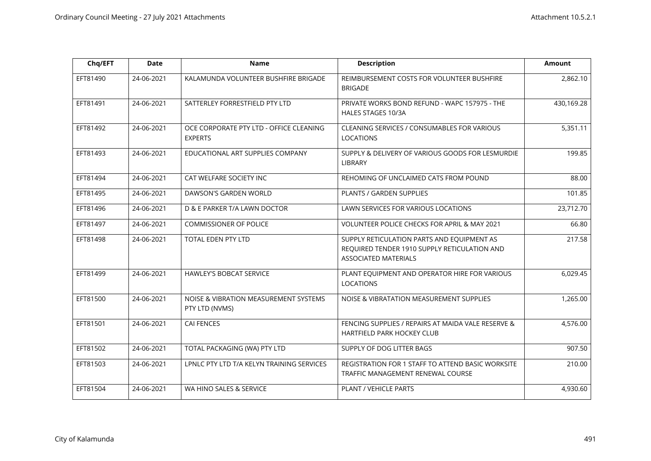| Chq/EFT  | <b>Date</b> | <b>Name</b>                                               | <b>Description</b>                                                                                                        | Amount     |
|----------|-------------|-----------------------------------------------------------|---------------------------------------------------------------------------------------------------------------------------|------------|
| EFT81490 | 24-06-2021  | KALAMUNDA VOLUNTEER BUSHFIRE BRIGADE                      | REIMBURSEMENT COSTS FOR VOLUNTEER BUSHFIRE<br><b>BRIGADE</b>                                                              | 2,862.10   |
| EFT81491 | 24-06-2021  | SATTERLEY FORRESTFIELD PTY LTD                            | PRIVATE WORKS BOND REFUND - WAPC 157975 - THE<br>HALES STAGES 10/3A                                                       | 430,169.28 |
| EFT81492 | 24-06-2021  | OCE CORPORATE PTY LTD - OFFICE CLEANING<br><b>EXPERTS</b> | CLEANING SERVICES / CONSUMABLES FOR VARIOUS<br><b>LOCATIONS</b>                                                           | 5,351.11   |
| EFT81493 | 24-06-2021  | EDUCATIONAL ART SUPPLIES COMPANY                          | SUPPLY & DELIVERY OF VARIOUS GOODS FOR LESMURDIE<br><b>LIBRARY</b>                                                        | 199.85     |
| EFT81494 | 24-06-2021  | CAT WELFARE SOCIETY INC                                   | REHOMING OF UNCLAIMED CATS FROM POUND                                                                                     | 88.00      |
| EFT81495 | 24-06-2021  | DAWSON'S GARDEN WORLD                                     | PLANTS / GARDEN SUPPLIES                                                                                                  | 101.85     |
| EFT81496 | 24-06-2021  | D & E PARKER T/A LAWN DOCTOR                              | LAWN SERVICES FOR VARIOUS LOCATIONS                                                                                       | 23,712.70  |
| EFT81497 | 24-06-2021  | <b>COMMISSIONER OF POLICE</b>                             | VOLUNTEER POLICE CHECKS FOR APRIL & MAY 2021                                                                              | 66.80      |
| EFT81498 | 24-06-2021  | TOTAL EDEN PTY LTD                                        | SUPPLY RETICULATION PARTS AND EQUIPMENT AS<br>REQUIRED TENDER 1910 SUPPLY RETICULATION AND<br><b>ASSOCIATED MATERIALS</b> | 217.58     |
| EFT81499 | 24-06-2021  | <b>HAWLEY'S BOBCAT SERVICE</b>                            | PLANT EQUIPMENT AND OPERATOR HIRE FOR VARIOUS<br><b>LOCATIONS</b>                                                         | 6,029.45   |
| EFT81500 | 24-06-2021  | NOISE & VIBRATION MEASUREMENT SYSTEMS<br>PTY LTD (NVMS)   | NOISE & VIBRATATION MEASUREMENT SUPPLIES                                                                                  | 1,265.00   |
| EFT81501 | 24-06-2021  | <b>CAI FENCES</b>                                         | FENCING SUPPLIES / REPAIRS AT MAIDA VALE RESERVE &<br>HARTFIELD PARK HOCKEY CLUB                                          | 4,576.00   |
| EFT81502 | 24-06-2021  | TOTAL PACKAGING (WA) PTY LTD                              | SUPPLY OF DOG LITTER BAGS                                                                                                 | 907.50     |
| EFT81503 | 24-06-2021  | LPNLC PTY LTD T/A KELYN TRAINING SERVICES                 | REGISTRATION FOR 1 STAFF TO ATTEND BASIC WORKSITE<br>TRAFFIC MANAGEMENT RENEWAL COURSE                                    | 210.00     |
| EFT81504 | 24-06-2021  | WA HINO SALES & SERVICE                                   | PLANT / VEHICLE PARTS                                                                                                     | 4,930.60   |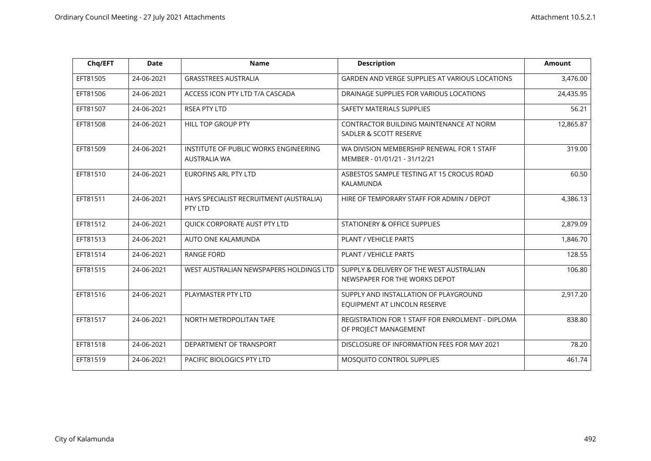| Chq/EFT  | <b>Date</b> | <b>Name</b>                                                  | <b>Description</b>                                                         | <b>Amount</b> |
|----------|-------------|--------------------------------------------------------------|----------------------------------------------------------------------------|---------------|
| EFT81505 | 24-06-2021  | <b>GRASSTREES AUSTRALIA</b>                                  | <b>GARDEN AND VERGE SUPPLIES AT VARIOUS LOCATIONS</b>                      | 3,476.00      |
| EFT81506 | 24-06-2021  | ACCESS ICON PTY LTD T/A CASCADA                              | DRAINAGE SUPPLIES FOR VARIOUS LOCATIONS                                    | 24,435.95     |
| EFT81507 | 24-06-2021  | <b>RSEA PTY LTD</b>                                          | SAFETY MATERIALS SUPPLIES                                                  | 56.21         |
| EFT81508 | 24-06-2021  | HILL TOP GROUP PTY                                           | CONTRACTOR BUILDING MAINTENANCE AT NORM<br>SADLER & SCOTT RESERVE          | 12,865.87     |
| EFT81509 | 24-06-2021  | INSTITUTE OF PUBLIC WORKS ENGINEERING<br><b>AUSTRALIA WA</b> | WA DIVISION MEMBERSHIP RENEWAL FOR 1 STAFF<br>MEMBER - 01/01/21 - 31/12/21 | 319.00        |
| EFT81510 | 24-06-2021  | <b>EUROFINS ARL PTY LTD</b>                                  | ASBESTOS SAMPLE TESTING AT 15 CROCUS ROAD<br>KALAMUNDA                     | 60.50         |
| EFT81511 | 24-06-2021  | HAYS SPECIALIST RECRUITMENT (AUSTRALIA)<br>PTY LTD           | HIRE OF TEMPORARY STAFF FOR ADMIN / DEPOT                                  | 4,386.13      |
| EFT81512 | 24-06-2021  | QUICK CORPORATE AUST PTY LTD                                 | STATIONERY & OFFICE SUPPLIES                                               | 2,879.09      |
| EFT81513 | 24-06-2021  | AUTO ONE KALAMUNDA                                           | PLANT / VEHICLE PARTS                                                      | 1,846.70      |
| EFT81514 | 24-06-2021  | <b>RANGE FORD</b>                                            | PLANT / VEHICLE PARTS                                                      | 128.55        |
| EFT81515 | 24-06-2021  | WEST AUSTRALIAN NEWSPAPERS HOLDINGS LTD                      | SUPPLY & DELIVERY OF THE WEST AUSTRALIAN<br>NEWSPAPER FOR THE WORKS DEPOT  | 106.80        |
| EFT81516 | 24-06-2021  | PLAYMASTER PTY LTD                                           | SUPPLY AND INSTALLATION OF PLAYGROUND<br>EQUIPMENT AT LINCOLN RESERVE      | 2,917.20      |
| EFT81517 | 24-06-2021  | NORTH METROPOLITAN TAFE                                      | REGISTRATION FOR 1 STAFF FOR ENROLMENT - DIPLOMA<br>OF PROJECT MANAGEMENT  | 838.80        |
| EFT81518 | 24-06-2021  | DEPARTMENT OF TRANSPORT                                      | DISCLOSURE OF INFORMATION FEES FOR MAY 2021                                | 78.20         |
| EFT81519 | 24-06-2021  | PACIFIC BIOLOGICS PTY LTD                                    | MOSQUITO CONTROL SUPPLIES                                                  | 461.74        |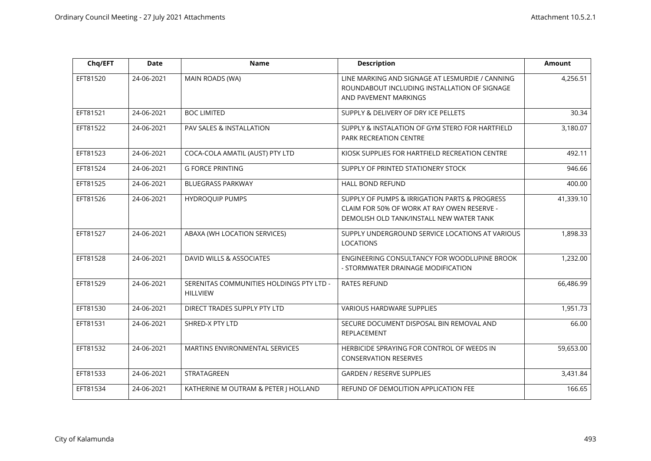| Chq/EFT  | <b>Date</b> | <b>Name</b>                                                 | <b>Description</b>                                                                                                                       | <b>Amount</b> |
|----------|-------------|-------------------------------------------------------------|------------------------------------------------------------------------------------------------------------------------------------------|---------------|
| EFT81520 | 24-06-2021  | MAIN ROADS (WA)                                             | LINE MARKING AND SIGNAGE AT LESMURDIE / CANNING<br>ROUNDABOUT INCLUDING INSTALLATION OF SIGNAGE<br>AND PAVEMENT MARKINGS                 | 4,256.51      |
| EFT81521 | 24-06-2021  | <b>BOC LIMITED</b>                                          | SUPPLY & DELIVERY OF DRY ICE PELLETS                                                                                                     | 30.34         |
| EFT81522 | 24-06-2021  | PAV SALES & INSTALLATION                                    | SUPPLY & INSTALATION OF GYM STERO FOR HARTFIELD<br>PARK RECREATION CENTRE                                                                | 3,180.07      |
| EFT81523 | 24-06-2021  | COCA-COLA AMATIL (AUST) PTY LTD                             | KIOSK SUPPLIES FOR HARTFIELD RECREATION CENTRE                                                                                           | 492.11        |
| EFT81524 | 24-06-2021  | <b>G FORCE PRINTING</b>                                     | SUPPLY OF PRINTED STATIONERY STOCK                                                                                                       | 946.66        |
| EFT81525 | 24-06-2021  | <b>BLUEGRASS PARKWAY</b>                                    | <b>HALL BOND REFUND</b>                                                                                                                  | 400.00        |
| EFT81526 | 24-06-2021  | <b>HYDROQUIP PUMPS</b>                                      | SUPPLY OF PUMPS & IRRIGATION PARTS & PROGRESS<br>CLAIM FOR 50% OF WORK AT RAY OWEN RESERVE -<br>DEMOLISH OLD TANK/INSTALL NEW WATER TANK | 41,339.10     |
| EFT81527 | 24-06-2021  | ABAXA (WH LOCATION SERVICES)                                | SUPPLY UNDERGROUND SERVICE LOCATIONS AT VARIOUS<br><b>LOCATIONS</b>                                                                      | 1,898.33      |
| EFT81528 | 24-06-2021  | DAVID WILLS & ASSOCIATES                                    | ENGINEERING CONSULTANCY FOR WOODLUPINE BROOK<br>- STORMWATER DRAINAGE MODIFICATION                                                       | 1,232.00      |
| EFT81529 | 24-06-2021  | SERENITAS COMMUNITIES HOLDINGS PTY LTD -<br><b>HILLVIEW</b> | <b>RATES REFUND</b>                                                                                                                      | 66,486.99     |
| EFT81530 | 24-06-2021  | DIRECT TRADES SUPPLY PTY LTD                                | <b>VARIOUS HARDWARE SUPPLIES</b>                                                                                                         | 1,951.73      |
| EFT81531 | 24-06-2021  | SHRED-X PTY LTD                                             | SECURE DOCUMENT DISPOSAL BIN REMOVAL AND<br><b>REPLACEMENT</b>                                                                           | 66.00         |
| EFT81532 | 24-06-2021  | MARTINS ENVIRONMENTAL SERVICES                              | HERBICIDE SPRAYING FOR CONTROL OF WEEDS IN<br><b>CONSERVATION RESERVES</b>                                                               | 59,653.00     |
| EFT81533 | 24-06-2021  | STRATAGREEN                                                 | <b>GARDEN / RESERVE SUPPLIES</b>                                                                                                         | 3,431.84      |
| EFT81534 | 24-06-2021  | KATHERINE M OUTRAM & PETER J HOLLAND                        | REFUND OF DEMOLITION APPLICATION FEE                                                                                                     | 166.65        |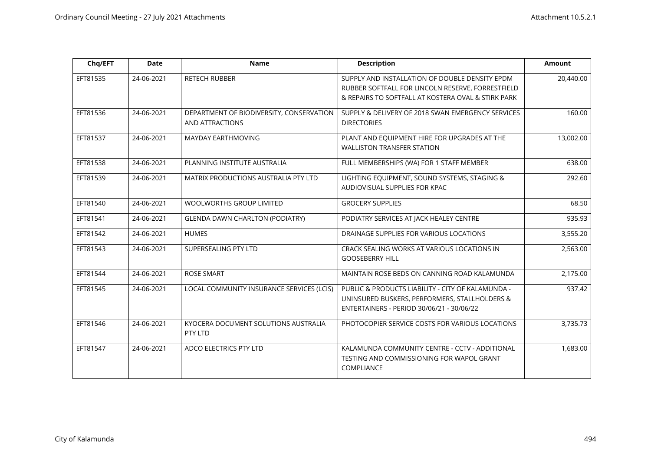| Chq/EFT  | <b>Date</b> | <b>Name</b>                                                 | <b>Description</b>                                                                                                                                        | <b>Amount</b> |
|----------|-------------|-------------------------------------------------------------|-----------------------------------------------------------------------------------------------------------------------------------------------------------|---------------|
| EFT81535 | 24-06-2021  | RETECH RUBBER                                               | SUPPLY AND INSTALLATION OF DOUBLE DENSITY EPDM<br>RUBBER SOFTFALL FOR LINCOLN RESERVE, FORRESTFIELD<br>& REPAIRS TO SOFTFALL AT KOSTERA OVAL & STIRK PARK | 20,440.00     |
| EFT81536 | 24-06-2021  | DEPARTMENT OF BIODIVERSITY, CONSERVATION<br>AND ATTRACTIONS | SUPPLY & DELIVERY OF 2018 SWAN EMERGENCY SERVICES<br><b>DIRECTORIES</b>                                                                                   | 160.00        |
| EFT81537 | 24-06-2021  | MAYDAY EARTHMOVING                                          | PLANT AND EQUIPMENT HIRE FOR UPGRADES AT THE<br><b>WALLISTON TRANSFER STATION</b>                                                                         | 13,002.00     |
| EFT81538 | 24-06-2021  | PLANNING INSTITUTE AUSTRALIA                                | FULL MEMBERSHIPS (WA) FOR 1 STAFF MEMBER                                                                                                                  | 638.00        |
| EFT81539 | 24-06-2021  | MATRIX PRODUCTIONS AUSTRALIA PTY LTD                        | LIGHTING EQUIPMENT, SOUND SYSTEMS, STAGING &<br>AUDIOVISUAL SUPPLIES FOR KPAC                                                                             | 292.60        |
| EFT81540 | 24-06-2021  | <b>WOOLWORTHS GROUP LIMITED</b>                             | <b>GROCERY SUPPLIES</b>                                                                                                                                   | 68.50         |
| EFT81541 | 24-06-2021  | <b>GLENDA DAWN CHARLTON (PODIATRY)</b>                      | PODIATRY SERVICES AT JACK HEALEY CENTRE                                                                                                                   | 935.93        |
| EFT81542 | 24-06-2021  | <b>HUMES</b>                                                | DRAINAGE SUPPLIES FOR VARIOUS LOCATIONS                                                                                                                   | 3,555.20      |
| EFT81543 | 24-06-2021  | SUPERSEALING PTY LTD                                        | CRACK SEALING WORKS AT VARIOUS LOCATIONS IN<br><b>GOOSEBERRY HILL</b>                                                                                     | 2,563.00      |
| EFT81544 | 24-06-2021  | <b>ROSE SMART</b>                                           | MAINTAIN ROSE BEDS ON CANNING ROAD KALAMUNDA                                                                                                              | 2,175.00      |
| EFT81545 | 24-06-2021  | LOCAL COMMUNITY INSURANCE SERVICES (LCIS)                   | PUBLIC & PRODUCTS LIABILITY - CITY OF KALAMUNDA -<br>UNINSURED BUSKERS, PERFORMERS, STALLHOLDERS &<br>ENTERTAINERS - PERIOD 30/06/21 - 30/06/22           | 937.42        |
| EFT81546 | 24-06-2021  | KYOCERA DOCUMENT SOLUTIONS AUSTRALIA<br>PTY LTD             | PHOTOCOPIER SERVICE COSTS FOR VARIOUS LOCATIONS                                                                                                           | 3,735.73      |
| EFT81547 | 24-06-2021  | ADCO ELECTRICS PTY LTD                                      | KALAMUNDA COMMUNITY CENTRE - CCTV - ADDITIONAL<br>TESTING AND COMMISSIONING FOR WAPOL GRANT<br>COMPLIANCE                                                 | 1,683.00      |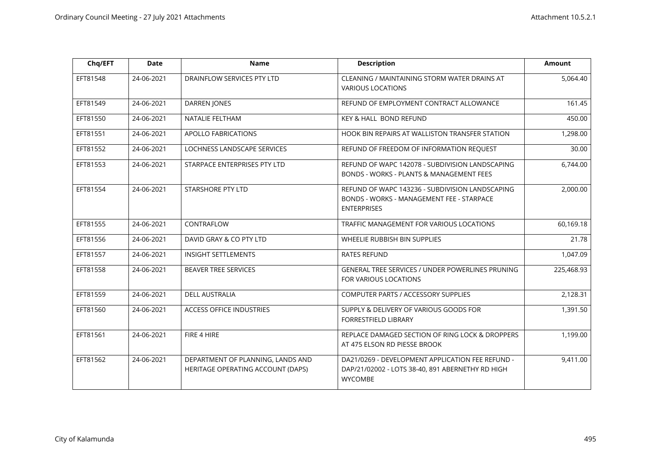| Chq/EFT  | <b>Date</b> | <b>Name</b>                                                            | <b>Description</b>                                                                                                     | <b>Amount</b> |
|----------|-------------|------------------------------------------------------------------------|------------------------------------------------------------------------------------------------------------------------|---------------|
| EFT81548 | 24-06-2021  | DRAINFLOW SERVICES PTY LTD                                             | CLEANING / MAINTAINING STORM WATER DRAINS AT<br><b>VARIOUS LOCATIONS</b>                                               | 5,064.40      |
| EFT81549 | 24-06-2021  | <b>DARREN JONES</b>                                                    | REFUND OF EMPLOYMENT CONTRACT ALLOWANCE                                                                                | 161.45        |
| EFT81550 | 24-06-2021  | NATALIE FELTHAM                                                        | KEY & HALL BOND REFUND                                                                                                 | 450.00        |
| EFT81551 | 24-06-2021  | APOLLO FABRICATIONS                                                    | HOOK BIN REPAIRS AT WALLISTON TRANSFER STATION                                                                         | 1,298.00      |
| EFT81552 | 24-06-2021  | LOCHNESS LANDSCAPE SERVICES                                            | REFUND OF FREEDOM OF INFORMATION REQUEST                                                                               | 30.00         |
| EFT81553 | 24-06-2021  | STARPACE ENTERPRISES PTY LTD                                           | REFUND OF WAPC 142078 - SUBDIVISION LANDSCAPING<br>BONDS - WORKS - PLANTS & MANAGEMENT FEES                            | 6,744.00      |
| EFT81554 | 24-06-2021  | <b>STARSHORE PTY LTD</b>                                               | REFUND OF WAPC 143236 - SUBDIVISION LANDSCAPING<br>BONDS - WORKS - MANAGEMENT FEE - STARPACE<br><b>ENTERPRISES</b>     | 2,000.00      |
| EFT81555 | 24-06-2021  | CONTRAFLOW                                                             | TRAFFIC MANAGEMENT FOR VARIOUS LOCATIONS                                                                               | 60,169.18     |
| EFT81556 | 24-06-2021  | DAVID GRAY & CO PTY LTD                                                | WHEELIE RUBBISH BIN SUPPLIES                                                                                           | 21.78         |
| EFT81557 | 24-06-2021  | <b>INSIGHT SETTLEMENTS</b>                                             | <b>RATES REFUND</b>                                                                                                    | 1,047.09      |
| EFT81558 | 24-06-2021  | <b>BEAVER TREE SERVICES</b>                                            | GENERAL TREE SERVICES / UNDER POWERLINES PRUNING<br>FOR VARIOUS LOCATIONS                                              | 225,468.93    |
| EFT81559 | 24-06-2021  | <b>DELL AUSTRALIA</b>                                                  | COMPUTER PARTS / ACCESSORY SUPPLIES                                                                                    | 2,128.31      |
| EFT81560 | 24-06-2021  | <b>ACCESS OFFICE INDUSTRIES</b>                                        | SUPPLY & DELIVERY OF VARIOUS GOODS FOR<br>FORRESTFIELD LIBRARY                                                         | 1,391.50      |
| EFT81561 | 24-06-2021  | FIRE 4 HIRE                                                            | REPLACE DAMAGED SECTION OF RING LOCK & DROPPERS<br>AT 475 ELSON RD PIESSE BROOK                                        | 1,199.00      |
| EFT81562 | 24-06-2021  | DEPARTMENT OF PLANNING, LANDS AND<br>HERITAGE OPERATING ACCOUNT (DAPS) | DA21/0269 - DEVELOPMENT APPLICATION FEE REFUND -<br>DAP/21/02002 - LOTS 38-40, 891 ABERNETHY RD HIGH<br><b>WYCOMBE</b> | 9,411.00      |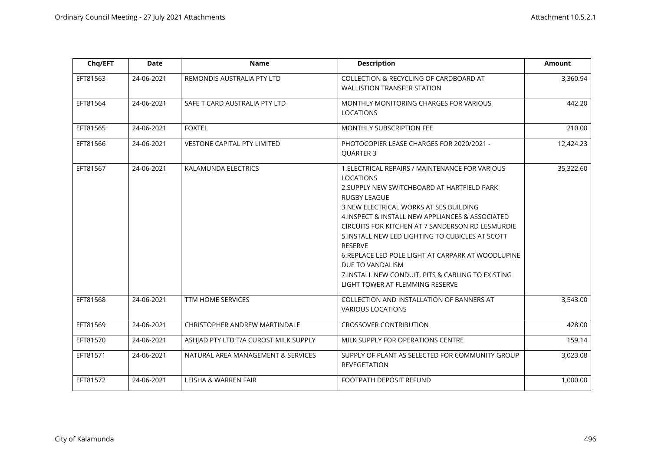| Chq/EFT  | Date       | <b>Name</b>                           | <b>Description</b>                                                                                                                                                                                                                                                                                                                                                                                                                                                                                                                   | <b>Amount</b> |
|----------|------------|---------------------------------------|--------------------------------------------------------------------------------------------------------------------------------------------------------------------------------------------------------------------------------------------------------------------------------------------------------------------------------------------------------------------------------------------------------------------------------------------------------------------------------------------------------------------------------------|---------------|
| EFT81563 | 24-06-2021 | REMONDIS AUSTRALIA PTY LTD            | <b>COLLECTION &amp; RECYCLING OF CARDBOARD AT</b><br><b>WALLISTION TRANSFER STATION</b>                                                                                                                                                                                                                                                                                                                                                                                                                                              | 3,360.94      |
| EFT81564 | 24-06-2021 | SAFE T CARD AUSTRALIA PTY LTD         | MONTHLY MONITORING CHARGES FOR VARIOUS<br><b>LOCATIONS</b>                                                                                                                                                                                                                                                                                                                                                                                                                                                                           | 442.20        |
| EFT81565 | 24-06-2021 | <b>FOXTEL</b>                         | MONTHLY SUBSCRIPTION FEE                                                                                                                                                                                                                                                                                                                                                                                                                                                                                                             | 210.00        |
| EFT81566 | 24-06-2021 | VESTONE CAPITAL PTY LIMITED           | PHOTOCOPIER LEASE CHARGES FOR 2020/2021 -<br><b>OUARTER 3</b>                                                                                                                                                                                                                                                                                                                                                                                                                                                                        | 12,424.23     |
| EFT81567 | 24-06-2021 | KALAMUNDA ELECTRICS                   | 1. ELECTRICAL REPAIRS / MAINTENANCE FOR VARIOUS<br><b>LOCATIONS</b><br>2. SUPPLY NEW SWITCHBOARD AT HARTFIELD PARK<br><b>RUGBY LEAGUE</b><br>3.NEW ELECTRICAL WORKS AT SES BUILDING<br>4. INSPECT & INSTALL NEW APPLIANCES & ASSOCIATED<br>CIRCUITS FOR KITCHEN AT 7 SANDERSON RD LESMURDIE<br>5. INSTALL NEW LED LIGHTING TO CUBICLES AT SCOTT<br><b>RESERVE</b><br>6. REPLACE LED POLE LIGHT AT CARPARK AT WOODLUPINE<br>DUE TO VANDALISM<br>7. INSTALL NEW CONDUIT, PITS & CABLING TO EXISTING<br>LIGHT TOWER AT FLEMMING RESERVE | 35,322.60     |
| EFT81568 | 24-06-2021 | <b>TTM HOME SERVICES</b>              | COLLECTION AND INSTALLATION OF BANNERS AT<br><b>VARIOUS LOCATIONS</b>                                                                                                                                                                                                                                                                                                                                                                                                                                                                | 3,543.00      |
| EFT81569 | 24-06-2021 | CHRISTOPHER ANDREW MARTINDALE         | <b>CROSSOVER CONTRIBUTION</b>                                                                                                                                                                                                                                                                                                                                                                                                                                                                                                        | 428.00        |
| EFT81570 | 24-06-2021 | ASHJAD PTY LTD T/A CUROST MILK SUPPLY | MILK SUPPLY FOR OPERATIONS CENTRE                                                                                                                                                                                                                                                                                                                                                                                                                                                                                                    | 159.14        |
| EFT81571 | 24-06-2021 | NATURAL AREA MANAGEMENT & SERVICES    | SUPPLY OF PLANT AS SELECTED FOR COMMUNITY GROUP<br><b>REVEGETATION</b>                                                                                                                                                                                                                                                                                                                                                                                                                                                               | 3,023.08      |
| EFT81572 | 24-06-2021 | LEISHA & WARREN FAIR                  | FOOTPATH DEPOSIT REFUND                                                                                                                                                                                                                                                                                                                                                                                                                                                                                                              | 1,000.00      |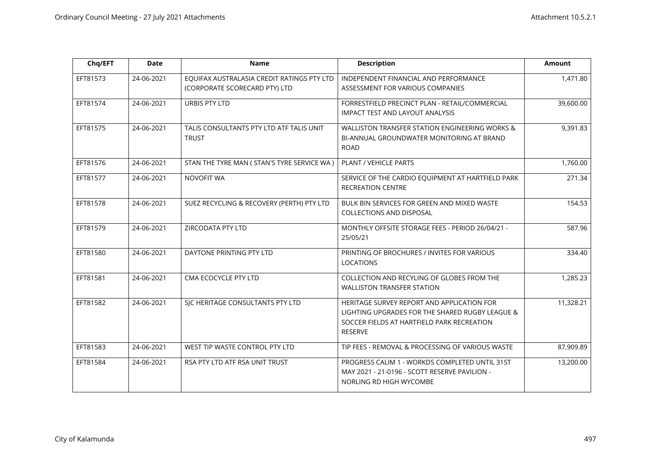| Chq/EFT  | <b>Date</b> | <b>Name</b>                                                                 | <b>Description</b>                                                                                                                                     | <b>Amount</b> |
|----------|-------------|-----------------------------------------------------------------------------|--------------------------------------------------------------------------------------------------------------------------------------------------------|---------------|
| EFT81573 | 24-06-2021  | EQUIFAX AUSTRALASIA CREDIT RATINGS PTY LTD<br>(CORPORATE SCORECARD PTY) LTD | INDEPENDENT FINANCIAL AND PERFORMANCE<br>ASSESSMENT FOR VARIOUS COMPANIES                                                                              | 1,471.80      |
| EFT81574 | 24-06-2021  | URBIS PTY LTD                                                               | FORRESTFIELD PRECINCT PLAN - RETAIL/COMMERCIAL<br>IMPACT TEST AND LAYOUT ANALYSIS                                                                      | 39,600.00     |
| EFT81575 | 24-06-2021  | TALIS CONSULTANTS PTY LTD ATF TALIS UNIT<br><b>TRUST</b>                    | WALLISTON TRANSFER STATION ENGINEERING WORKS &<br>BI-ANNUAL GROUNDWATER MONITORING AT BRAND<br><b>ROAD</b>                                             | 9,391.83      |
| EFT81576 | 24-06-2021  | STAN THE TYRE MAN ( STAN'S TYRE SERVICE WA )                                | PLANT / VEHICLE PARTS                                                                                                                                  | 1,760.00      |
| EFT81577 | 24-06-2021  | NOVOFIT WA                                                                  | SERVICE OF THE CARDIO EQUIPMENT AT HARTFIELD PARK<br><b>RECREATION CENTRE</b>                                                                          | 271.34        |
| EFT81578 | 24-06-2021  | SUEZ RECYCLING & RECOVERY (PERTH) PTY LTD                                   | BULK BIN SERVICES FOR GREEN AND MIXED WASTE<br>COLLECTIONS AND DISPOSAL                                                                                | 154.53        |
| EFT81579 | 24-06-2021  | ZIRCODATA PTY LTD                                                           | MONTHLY OFFSITE STORAGE FEES - PERIOD 26/04/21 -<br>25/05/21                                                                                           | 587.96        |
| EFT81580 | 24-06-2021  | DAYTONE PRINTING PTY LTD                                                    | PRINTING OF BROCHURES / INVITES FOR VARIOUS<br>LOCATIONS                                                                                               | 334.40        |
| EFT81581 | 24-06-2021  | CMA ECOCYCLE PTY LTD                                                        | COLLECTION AND RECYLING OF GLOBES FROM THE<br><b>WALLISTON TRANSFER STATION</b>                                                                        | 1,285.23      |
| EFT81582 | 24-06-2021  | SJC HERITAGE CONSULTANTS PTY LTD                                            | HERITAGE SURVEY REPORT AND APPLICATION FOR<br>LIGHTING UPGRADES FOR THE SHARED RUGBY LEAGUE &<br>SOCCER FIELDS AT HARTFIELD PARK RECREATION<br>RESERVE | 11,328.21     |
| EFT81583 | 24-06-2021  | WEST TIP WASTE CONTROL PTY LTD                                              | TIP FEES - REMOVAL & PROCESSING OF VARIOUS WASTE                                                                                                       | 87,909.89     |
| EFT81584 | 24-06-2021  | RSA PTY LTD ATF RSA UNIT TRUST                                              | PROGRESS CALIM 1 - WORKDS COMPLETED UNTIL 31ST<br>MAY 2021 - 21-0196 - SCOTT RESERVE PAVILION -<br>NORLING RD HIGH WYCOMBE                             | 13,200.00     |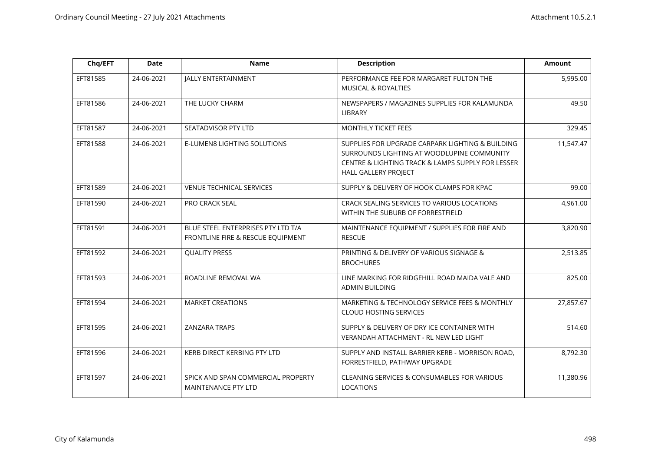| Chq/EFT  | <b>Date</b> | <b>Name</b>                                                             | <b>Description</b>                                                                                                                                                          | <b>Amount</b> |
|----------|-------------|-------------------------------------------------------------------------|-----------------------------------------------------------------------------------------------------------------------------------------------------------------------------|---------------|
| EFT81585 | 24-06-2021  | <b>JALLY ENTERTAINMENT</b>                                              | PERFORMANCE FEE FOR MARGARET FULTON THE<br><b>MUSICAL &amp; ROYALTIES</b>                                                                                                   | 5,995.00      |
| EFT81586 | 24-06-2021  | THE LUCKY CHARM                                                         | NEWSPAPERS / MAGAZINES SUPPLIES FOR KALAMUNDA<br><b>LIBRARY</b>                                                                                                             | 49.50         |
| EFT81587 | 24-06-2021  | SEATADVISOR PTY LTD                                                     | MONTHLY TICKET FEES                                                                                                                                                         | 329.45        |
| EFT81588 | 24-06-2021  | E-LUMEN8 LIGHTING SOLUTIONS                                             | SUPPLIES FOR UPGRADE CARPARK LIGHTING & BUILDING<br>SURROUNDS LIGHTING AT WOODLUPINE COMMUNITY<br>CENTRE & LIGHTING TRACK & LAMPS SUPPLY FOR LESSER<br>HALL GALLERY PROJECT | 11,547.47     |
| EFT81589 | 24-06-2021  | <b>VENUE TECHNICAL SERVICES</b>                                         | SUPPLY & DELIVERY OF HOOK CLAMPS FOR KPAC                                                                                                                                   | 99.00         |
| EFT81590 | 24-06-2021  | PRO CRACK SEAL                                                          | CRACK SEALING SERVICES TO VARIOUS LOCATIONS<br>WITHIN THE SUBURB OF FORRESTFIELD                                                                                            | 4,961.00      |
| EFT81591 | 24-06-2021  | BLUE STEEL ENTERPRISES PTY LTD T/A<br>FRONTLINE FIRE & RESCUE EQUIPMENT | MAINTENANCE EQUIPMENT / SUPPLIES FOR FIRE AND<br><b>RESCUE</b>                                                                                                              | 3,820.90      |
| EFT81592 | 24-06-2021  | <b>QUALITY PRESS</b>                                                    | PRINTING & DELIVERY OF VARIOUS SIGNAGE &<br><b>BROCHURES</b>                                                                                                                | 2,513.85      |
| EFT81593 | 24-06-2021  | ROADLINE REMOVAL WA                                                     | LINE MARKING FOR RIDGEHILL ROAD MAIDA VALE AND<br><b>ADMIN BUILDING</b>                                                                                                     | 825.00        |
| EFT81594 | 24-06-2021  | <b>MARKET CREATIONS</b>                                                 | MARKETING & TECHNOLOGY SERVICE FEES & MONTHLY<br><b>CLOUD HOSTING SERVICES</b>                                                                                              | 27,857.67     |
| EFT81595 | 24-06-2021  | <b>ZANZARA TRAPS</b>                                                    | SUPPLY & DELIVERY OF DRY ICE CONTAINER WITH<br>VERANDAH ATTACHMENT - RL NEW LED LIGHT                                                                                       | 514.60        |
| EFT81596 | 24-06-2021  | KERB DIRECT KERBING PTY LTD                                             | SUPPLY AND INSTALL BARRIER KERB - MORRISON ROAD,<br>FORRESTFIELD, PATHWAY UPGRADE                                                                                           | 8,792.30      |
| EFT81597 | 24-06-2021  | SPICK AND SPAN COMMERCIAL PROPERTY<br><b>MAINTENANCE PTY LTD</b>        | CLEANING SERVICES & CONSUMABLES FOR VARIOUS<br><b>LOCATIONS</b>                                                                                                             | 11,380.96     |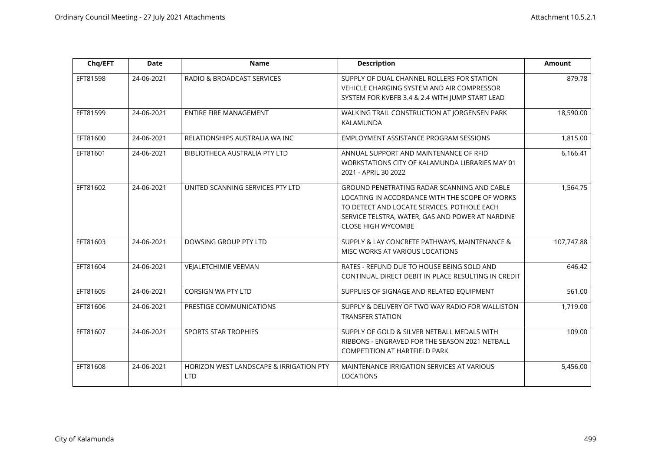| Chq/EFT  | <b>Date</b> | <b>Name</b>                                                      | <b>Description</b>                                                                                                                                                                                                            | <b>Amount</b> |
|----------|-------------|------------------------------------------------------------------|-------------------------------------------------------------------------------------------------------------------------------------------------------------------------------------------------------------------------------|---------------|
| EFT81598 | 24-06-2021  | RADIO & BROADCAST SERVICES                                       | SUPPLY OF DUAL CHANNEL ROLLERS FOR STATION<br>VEHICLE CHARGING SYSTEM AND AIR COMPRESSOR<br>SYSTEM FOR KVBFB 3.4 & 2.4 WITH JUMP START LEAD                                                                                   | 879.78        |
| EFT81599 | 24-06-2021  | ENTIRE FIRE MANAGEMENT                                           | WALKING TRAIL CONSTRUCTION AT JORGENSEN PARK<br>KALAMUNDA                                                                                                                                                                     | 18,590.00     |
| EFT81600 | 24-06-2021  | RELATIONSHIPS AUSTRALIA WA INC                                   | EMPLOYMENT ASSISTANCE PROGRAM SESSIONS                                                                                                                                                                                        | 1,815.00      |
| EFT81601 | 24-06-2021  | BIBLIOTHECA AUSTRALIA PTY LTD                                    | ANNUAL SUPPORT AND MAINTENANCE OF RFID<br>WORKSTATIONS CITY OF KALAMUNDA LIBRARIES MAY 01<br>2021 - APRIL 30 2022                                                                                                             | 6,166.41      |
| EFT81602 | 24-06-2021  | UNITED SCANNING SERVICES PTY LTD                                 | GROUND PENETRATING RADAR SCANNING AND CABLE<br>LOCATING IN ACCORDANCE WITH THE SCOPE OF WORKS<br>TO DETECT AND LOCATE SERVICES. POTHOLE EACH<br>SERVICE TELSTRA, WATER, GAS AND POWER AT NARDINE<br><b>CLOSE HIGH WYCOMBE</b> | 1,564.75      |
| EFT81603 | 24-06-2021  | DOWSING GROUP PTY LTD                                            | SUPPLY & LAY CONCRETE PATHWAYS, MAINTENANCE &<br>MISC WORKS AT VARIOUS LOCATIONS                                                                                                                                              | 107,747.88    |
| EFT81604 | 24-06-2021  | <b>VEJALETCHIMIE VEEMAN</b>                                      | RATES - REFUND DUE TO HOUSE BEING SOLD AND<br>CONTINUAL DIRECT DEBIT IN PLACE RESULTING IN CREDIT                                                                                                                             | 646.42        |
| EFT81605 | 24-06-2021  | <b>CORSIGN WA PTY LTD</b>                                        | SUPPLIES OF SIGNAGE AND RELATED EQUIPMENT                                                                                                                                                                                     | 561.00        |
| EFT81606 | 24-06-2021  | PRESTIGE COMMUNICATIONS                                          | SUPPLY & DELIVERY OF TWO WAY RADIO FOR WALLISTON<br><b>TRANSFER STATION</b>                                                                                                                                                   | 1,719.00      |
| EFT81607 | 24-06-2021  | <b>SPORTS STAR TROPHIES</b>                                      | SUPPLY OF GOLD & SILVER NETBALL MEDALS WITH<br>RIBBONS - ENGRAVED FOR THE SEASON 2021 NETBALL<br><b>COMPETITION AT HARTFIELD PARK</b>                                                                                         | 109.00        |
| EFT81608 | 24-06-2021  | <b>HORIZON WEST LANDSCAPE &amp; IRRIGATION PTY</b><br><b>LTD</b> | MAINTENANCE IRRIGATION SERVICES AT VARIOUS<br><b>LOCATIONS</b>                                                                                                                                                                | 5,456.00      |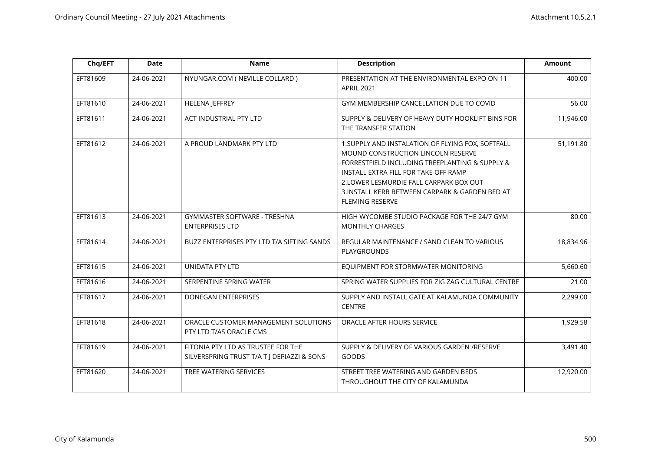| Chq/EFT  | <b>Date</b> | <b>Name</b>                                                                      | <b>Description</b>                                                                                                                                                                                                                                                                                       | <b>Amount</b> |
|----------|-------------|----------------------------------------------------------------------------------|----------------------------------------------------------------------------------------------------------------------------------------------------------------------------------------------------------------------------------------------------------------------------------------------------------|---------------|
| EFT81609 | 24-06-2021  | NYUNGAR.COM (NEVILLE COLLARD)                                                    | PRESENTATION AT THE ENVIRONMENTAL EXPO ON 11<br><b>APRIL 2021</b>                                                                                                                                                                                                                                        | 400.00        |
| EFT81610 | 24-06-2021  | <b>HELENA JEFFREY</b>                                                            | GYM MEMBERSHIP CANCELLATION DUE TO COVID                                                                                                                                                                                                                                                                 | 56.00         |
| EFT81611 | 24-06-2021  | ACT INDUSTRIAL PTY LTD                                                           | SUPPLY & DELIVERY OF HEAVY DUTY HOOKLIFT BINS FOR<br>THE TRANSFER STATION                                                                                                                                                                                                                                | 11,946.00     |
| EFT81612 | 24-06-2021  | A PROUD LANDMARK PTY LTD                                                         | 1. SUPPLY AND INSTALATION OF FLYING FOX, SOFTFALL<br>MOUND CONSTRUCTION LINCOLN RESERVE<br>FORRESTFIELD INCLUDING TREEPLANTING & SUPPLY &<br>INSTALL EXTRA FILL FOR TAKE OFF RAMP<br>2. LOWER LESMURDIE FALL CARPARK BOX OUT<br>3.INSTALL KERB BETWEEN CARPARK & GARDEN BED AT<br><b>FLEMING RESERVE</b> | 51,191.80     |
| EFT81613 | 24-06-2021  | GYMMASTER SOFTWARE - TRESHNA<br><b>ENTERPRISES LTD</b>                           | HIGH WYCOMBE STUDIO PACKAGE FOR THE 24/7 GYM<br><b>MONTHLY CHARGES</b>                                                                                                                                                                                                                                   | 80.00         |
| EFT81614 | 24-06-2021  | BUZZ ENTERPRISES PTY LTD T/A SIFTING SANDS                                       | REGULAR MAINTENANCE / SAND CLEAN TO VARIOUS<br>PLAYGROUNDS                                                                                                                                                                                                                                               | 18,834.96     |
| EFT81615 | 24-06-2021  | UNIDATA PTY LTD                                                                  | EQUIPMENT FOR STORMWATER MONITORING                                                                                                                                                                                                                                                                      | 5,660.60      |
| EFT81616 | 24-06-2021  | SERPENTINE SPRING WATER                                                          | SPRING WATER SUPPLIES FOR ZIG ZAG CULTURAL CENTRE                                                                                                                                                                                                                                                        | 21.00         |
| EFT81617 | 24-06-2021  | <b>DONEGAN ENTERPRISES</b>                                                       | SUPPLY AND INSTALL GATE AT KALAMUNDA COMMUNITY<br>CENTRE                                                                                                                                                                                                                                                 | 2,299.00      |
| EFT81618 | 24-06-2021  | ORACLE CUSTOMER MANAGEMENT SOLUTIONS<br>PTY LTD T/AS ORACLE CMS                  | ORACLE AFTER HOURS SERVICE                                                                                                                                                                                                                                                                               | 1,929.58      |
| EFT81619 | 24-06-2021  | FITONIA PTY LTD AS TRUSTEE FOR THE<br>SILVERSPRING TRUST T/A T J DEPIAZZI & SONS | SUPPLY & DELIVERY OF VARIOUS GARDEN /RESERVE<br>GOODS                                                                                                                                                                                                                                                    | 3,491.40      |
| EFT81620 | 24-06-2021  | TREE WATERING SERVICES                                                           | STREET TREE WATERING AND GARDEN BEDS<br>THROUGHOUT THE CITY OF KALAMUNDA                                                                                                                                                                                                                                 | 12,920.00     |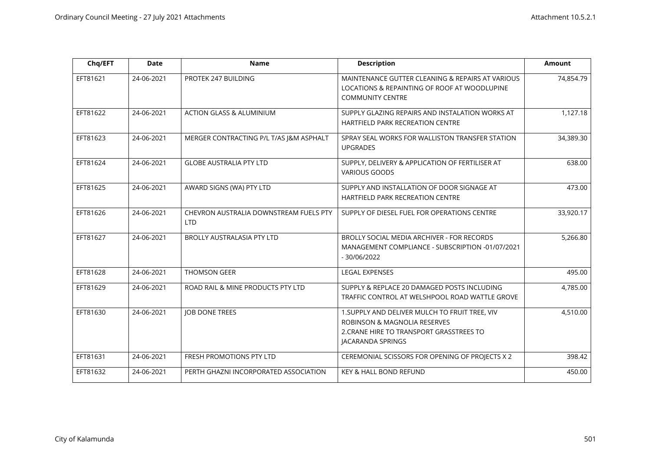| Chq/EFT  | <b>Date</b> | <b>Name</b>                                          | <b>Description</b>                                                                                                                                         | <b>Amount</b> |
|----------|-------------|------------------------------------------------------|------------------------------------------------------------------------------------------------------------------------------------------------------------|---------------|
| EFT81621 | 24-06-2021  | PROTEK 247 BUILDING                                  | MAINTENANCE GUTTER CLEANING & REPAIRS AT VARIOUS<br>LOCATIONS & REPAINTING OF ROOF AT WOODLUPINE<br><b>COMMUNITY CENTRE</b>                                | 74,854.79     |
| EFT81622 | 24-06-2021  | <b>ACTION GLASS &amp; ALUMINIUM</b>                  | SUPPLY GLAZING REPAIRS AND INSTALATION WORKS AT<br><b>HARTFIELD PARK RECREATION CENTRE</b>                                                                 | 1,127.18      |
| EFT81623 | 24-06-2021  | MERGER CONTRACTING P/L T/AS J&M ASPHALT              | SPRAY SEAL WORKS FOR WALLISTON TRANSFER STATION<br><b>UPGRADES</b>                                                                                         | 34,389.30     |
| EFT81624 | 24-06-2021  | <b>GLOBE AUSTRALIA PTY LTD</b>                       | SUPPLY, DELIVERY & APPLICATION OF FERTILISER AT<br><b>VARIOUS GOODS</b>                                                                                    | 638.00        |
| EFT81625 | 24-06-2021  | AWARD SIGNS (WA) PTY LTD                             | SUPPLY AND INSTALLATION OF DOOR SIGNAGE AT<br><b>HARTFIELD PARK RECREATION CENTRE</b>                                                                      | 473.00        |
| EFT81626 | 24-06-2021  | CHEVRON AUSTRALIA DOWNSTREAM FUELS PTY<br><b>LTD</b> | SUPPLY OF DIESEL FUEL FOR OPERATIONS CENTRE                                                                                                                | 33,920.17     |
| EFT81627 | 24-06-2021  | <b>BROLLY AUSTRALASIA PTY LTD</b>                    | BROLLY SOCIAL MEDIA ARCHIVER - FOR RECORDS<br>MANAGEMENT COMPLIANCE - SUBSCRIPTION -01/07/2021<br>$-30/06/2022$                                            | 5,266.80      |
| EFT81628 | 24-06-2021  | <b>THOMSON GEER</b>                                  | LEGAL EXPENSES                                                                                                                                             | 495.00        |
| EFT81629 | 24-06-2021  | ROAD RAIL & MINE PRODUCTS PTY LTD                    | SUPPLY & REPLACE 20 DAMAGED POSTS INCLUDING<br>TRAFFIC CONTROL AT WELSHPOOL ROAD WATTLE GROVE                                                              | 4,785.00      |
| EFT81630 | 24-06-2021  | <b>JOB DONE TREES</b>                                | 1. SUPPLY AND DELIVER MULCH TO FRUIT TREE, VIV<br><b>ROBINSON &amp; MAGNOLIA RESERVES</b><br>2. CRANE HIRE TO TRANSPORT GRASSTREES TO<br>JACARANDA SPRINGS | 4,510.00      |
| EFT81631 | 24-06-2021  | FRESH PROMOTIONS PTY LTD                             | CEREMONIAL SCISSORS FOR OPENING OF PROJECTS X 2                                                                                                            | 398.42        |
| EFT81632 | 24-06-2021  | PERTH GHAZNI INCORPORATED ASSOCIATION                | <b>KEY &amp; HALL BOND REFUND</b>                                                                                                                          | 450.00        |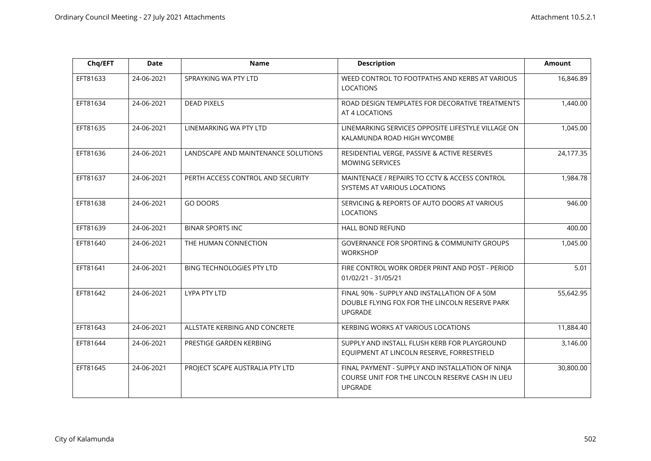| Chq/EFT  | <b>Date</b> | <b>Name</b>                         | <b>Description</b>                                                                                                     | <b>Amount</b> |
|----------|-------------|-------------------------------------|------------------------------------------------------------------------------------------------------------------------|---------------|
| EFT81633 | 24-06-2021  | SPRAYKING WA PTY LTD                | WEED CONTROL TO FOOTPATHS AND KERBS AT VARIOUS<br><b>LOCATIONS</b>                                                     | 16,846.89     |
| EFT81634 | 24-06-2021  | <b>DEAD PIXELS</b>                  | ROAD DESIGN TEMPLATES FOR DECORATIVE TREATMENTS<br>AT 4 LOCATIONS                                                      | 1,440.00      |
| EFT81635 | 24-06-2021  | LINEMARKING WA PTY LTD              | LINEMARKING SERVICES OPPOSITE LIFESTYLE VILLAGE ON<br>KALAMUNDA ROAD HIGH WYCOMBE                                      | 1,045.00      |
| EFT81636 | 24-06-2021  | LANDSCAPE AND MAINTENANCE SOLUTIONS | RESIDENTIAL VERGE, PASSIVE & ACTIVE RESERVES<br><b>MOWING SERVICES</b>                                                 | 24,177.35     |
| EFT81637 | 24-06-2021  | PERTH ACCESS CONTROL AND SECURITY   | MAINTENACE / REPAIRS TO CCTV & ACCESS CONTROL<br>SYSTEMS AT VARIOUS LOCATIONS                                          | 1,984.78      |
| EFT81638 | 24-06-2021  | <b>GO DOORS</b>                     | SERVICING & REPORTS OF AUTO DOORS AT VARIOUS<br><b>LOCATIONS</b>                                                       | 946.00        |
| EFT81639 | 24-06-2021  | <b>BINAR SPORTS INC</b>             | HALL BOND REFUND                                                                                                       | 400.00        |
| EFT81640 | 24-06-2021  | THE HUMAN CONNECTION                | GOVERNANCE FOR SPORTING & COMMUNITY GROUPS<br><b>WORKSHOP</b>                                                          | 1,045.00      |
| EFT81641 | 24-06-2021  | BING TECHNOLOGIES PTY LTD           | FIRE CONTROL WORK ORDER PRINT AND POST - PERIOD<br>01/02/21 - 31/05/21                                                 | 5.01          |
| EFT81642 | 24-06-2021  | LYPA PTY LTD                        | FINAL 90% - SUPPLY AND INSTALLATION OF A 50M<br>DOUBLE FLYING FOX FOR THE LINCOLN RESERVE PARK<br><b>UPGRADE</b>       | 55,642.95     |
| EFT81643 | 24-06-2021  | ALLSTATE KERBING AND CONCRETE       | KERBING WORKS AT VARIOUS LOCATIONS                                                                                     | 11,884.40     |
| EFT81644 | 24-06-2021  | PRESTIGE GARDEN KERBING             | SUPPLY AND INSTALL FLUSH KERB FOR PLAYGROUND<br>EQUIPMENT AT LINCOLN RESERVE, FORRESTFIELD                             | 3,146.00      |
| EFT81645 | 24-06-2021  | PROJECT SCAPE AUSTRALIA PTY LTD     | FINAL PAYMENT - SUPPLY AND INSTALLATION OF NINJA<br>COURSE UNIT FOR THE LINCOLN RESERVE CASH IN LIEU<br><b>UPGRADE</b> | 30,800.00     |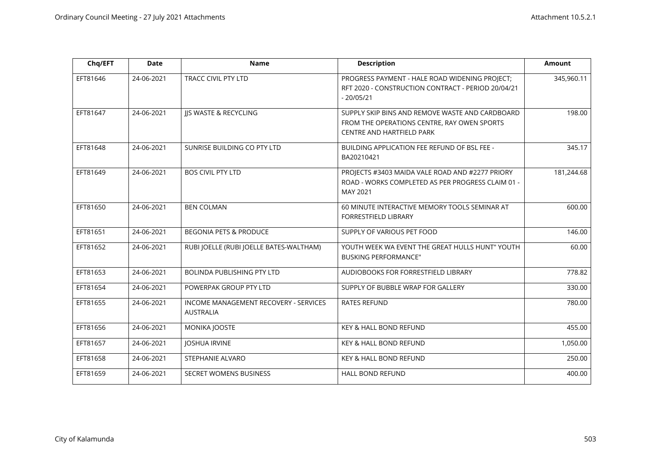| Chq/EFT  | <b>Date</b> | <b>Name</b>                                               | <b>Description</b>                                                                                                          | <b>Amount</b> |
|----------|-------------|-----------------------------------------------------------|-----------------------------------------------------------------------------------------------------------------------------|---------------|
| EFT81646 | 24-06-2021  | <b>TRACC CIVIL PTY LTD</b>                                | PROGRESS PAYMENT - HALE ROAD WIDENING PROJECT;<br>RFT 2020 - CONSTRUCTION CONTRACT - PERIOD 20/04/21<br>$-20/05/21$         | 345,960.11    |
| EFT81647 | 24-06-2021  | JJS WASTE & RECYCLING                                     | SUPPLY SKIP BINS AND REMOVE WASTE AND CARDBOARD<br>FROM THE OPERATIONS CENTRE, RAY OWEN SPORTS<br>CENTRE AND HARTFIELD PARK | 198.00        |
| EFT81648 | 24-06-2021  | SUNRISE BUILDING CO PTY LTD                               | <b>BUILDING APPLICATION FEE REFUND OF BSL FEE -</b><br>BA20210421                                                           | 345.17        |
| EFT81649 | 24-06-2021  | <b>BOS CIVIL PTY LTD</b>                                  | PROJECTS #3403 MAIDA VALE ROAD AND #2277 PRIORY<br>ROAD - WORKS COMPLETED AS PER PROGRESS CLAIM 01 -<br>MAY 2021            | 181,244.68    |
| EFT81650 | 24-06-2021  | <b>BEN COLMAN</b>                                         | 60 MINUTE INTERACTIVE MEMORY TOOLS SEMINAR AT<br><b>FORRESTFIELD LIBRARY</b>                                                | 600.00        |
| EFT81651 | 24-06-2021  | <b>BEGONIA PETS &amp; PRODUCE</b>                         | SUPPLY OF VARIOUS PET FOOD                                                                                                  | 146.00        |
| EFT81652 | 24-06-2021  | RUBI JOELLE (RUBI JOELLE BATES-WALTHAM)                   | YOUTH WEEK WA EVENT THE GREAT HULLS HUNT" YOUTH<br><b>BUSKING PERFORMANCE"</b>                                              | 60.00         |
| EFT81653 | 24-06-2021  | <b>BOLINDA PUBLISHING PTY LTD</b>                         | AUDIOBOOKS FOR FORRESTFIELD LIBRARY                                                                                         | 778.82        |
| EFT81654 | 24-06-2021  | POWERPAK GROUP PTY LTD                                    | SUPPLY OF BUBBLE WRAP FOR GALLERY                                                                                           | 330.00        |
| EFT81655 | 24-06-2021  | INCOME MANAGEMENT RECOVERY - SERVICES<br><b>AUSTRALIA</b> | <b>RATES REFUND</b>                                                                                                         | 780.00        |
| EFT81656 | 24-06-2021  | MONIKA JOOSTE                                             | KEY & HALL BOND REFUND                                                                                                      | 455.00        |
| EFT81657 | 24-06-2021  | <b>JOSHUA IRVINE</b>                                      | KEY & HALL BOND REFUND                                                                                                      | 1,050.00      |
| EFT81658 | 24-06-2021  | STEPHANIE ALVARO                                          | KEY & HALL BOND REFUND                                                                                                      | 250.00        |
| EFT81659 | 24-06-2021  | <b>SECRET WOMENS BUSINESS</b>                             | <b>HALL BOND REFUND</b>                                                                                                     | 400.00        |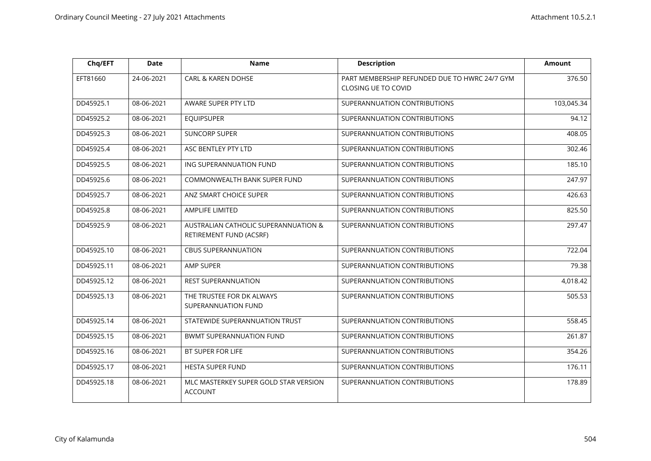| Chq/EFT    | <b>Date</b> | <b>Name</b>                                                     | <b>Description</b>                                                   | <b>Amount</b> |
|------------|-------------|-----------------------------------------------------------------|----------------------------------------------------------------------|---------------|
| EFT81660   | 24-06-2021  | <b>CARL &amp; KAREN DOHSE</b>                                   | PART MEMBERSHIP REFUNDED DUE TO HWRC 24/7 GYM<br>CLOSING UE TO COVID | 376.50        |
| DD45925.1  | 08-06-2021  | AWARE SUPER PTY LTD                                             | SUPERANNUATION CONTRIBUTIONS                                         | 103,045.34    |
| DD45925.2  | 08-06-2021  | <b>EQUIPSUPER</b>                                               | SUPERANNUATION CONTRIBUTIONS                                         | 94.12         |
| DD45925.3  | 08-06-2021  | <b>SUNCORP SUPER</b>                                            | SUPERANNUATION CONTRIBUTIONS                                         | 408.05        |
| DD45925.4  | 08-06-2021  | ASC BENTLEY PTY LTD                                             | SUPERANNUATION CONTRIBUTIONS                                         | 302.46        |
| DD45925.5  | 08-06-2021  | ING SUPERANNUATION FUND                                         | SUPERANNUATION CONTRIBUTIONS                                         | 185.10        |
| DD45925.6  | 08-06-2021  | COMMONWEALTH BANK SUPER FUND                                    | SUPERANNUATION CONTRIBUTIONS                                         | 247.97        |
| DD45925.7  | 08-06-2021  | ANZ SMART CHOICE SUPER                                          | SUPERANNUATION CONTRIBUTIONS                                         | 426.63        |
| DD45925.8  | 08-06-2021  | <b>AMPLIFE LIMITED</b>                                          | SUPERANNUATION CONTRIBUTIONS                                         | 825.50        |
| DD45925.9  | 08-06-2021  | AUSTRALIAN CATHOLIC SUPERANNUATION &<br>RETIREMENT FUND (ACSRF) | SUPERANNUATION CONTRIBUTIONS                                         | 297.47        |
| DD45925.10 | 08-06-2021  | <b>CBUS SUPERANNUATION</b>                                      | SUPERANNUATION CONTRIBUTIONS                                         | 722.04        |
| DD45925.11 | 08-06-2021  | AMP SUPER                                                       | SUPERANNUATION CONTRIBUTIONS                                         | 79.38         |
| DD45925.12 | 08-06-2021  | <b>REST SUPERANNUATION</b>                                      | SUPERANNUATION CONTRIBUTIONS                                         | 4,018.42      |
| DD45925.13 | 08-06-2021  | THE TRUSTEE FOR DK ALWAYS<br>SUPERANNUATION FUND                | SUPERANNUATION CONTRIBUTIONS                                         | 505.53        |
| DD45925.14 | 08-06-2021  | STATEWIDE SUPERANNUATION TRUST                                  | SUPERANNUATION CONTRIBUTIONS                                         | 558.45        |
| DD45925.15 | 08-06-2021  | <b>BWMT SUPERANNUATION FUND</b>                                 | SUPERANNUATION CONTRIBUTIONS                                         | 261.87        |
| DD45925.16 | 08-06-2021  | BT SUPER FOR LIFE                                               | SUPERANNUATION CONTRIBUTIONS                                         | 354.26        |
| DD45925.17 | 08-06-2021  | <b>HESTA SUPER FUND</b>                                         | SUPERANNUATION CONTRIBUTIONS                                         | 176.11        |
| DD45925.18 | 08-06-2021  | MLC MASTERKEY SUPER GOLD STAR VERSION<br><b>ACCOUNT</b>         | SUPERANNUATION CONTRIBUTIONS                                         | 178.89        |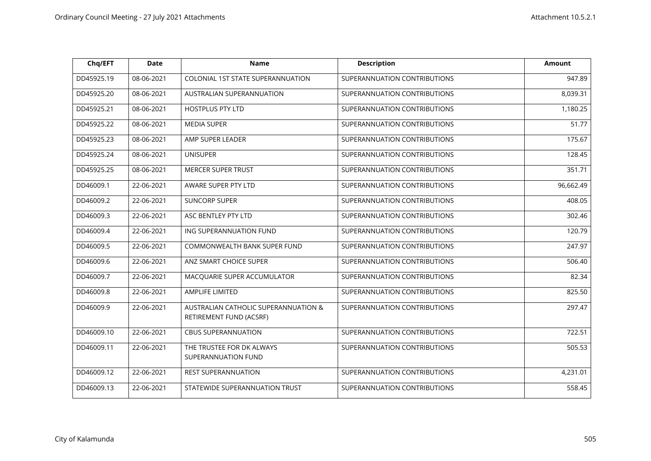| Chq/EFT    | <b>Date</b> | <b>Name</b>                                                     | <b>Description</b>           | <b>Amount</b> |
|------------|-------------|-----------------------------------------------------------------|------------------------------|---------------|
| DD45925.19 | 08-06-2021  | COLONIAL 1ST STATE SUPERANNUATION                               | SUPERANNUATION CONTRIBUTIONS | 947.89        |
| DD45925.20 | 08-06-2021  | AUSTRALIAN SUPERANNUATION                                       | SUPERANNUATION CONTRIBUTIONS | 8,039.31      |
| DD45925.21 | 08-06-2021  | <b>HOSTPLUS PTY LTD</b>                                         | SUPERANNUATION CONTRIBUTIONS | 1,180.25      |
| DD45925.22 | 08-06-2021  | <b>MEDIA SUPER</b>                                              | SUPERANNUATION CONTRIBUTIONS | 51.77         |
| DD45925.23 | 08-06-2021  | AMP SUPER LEADER                                                | SUPERANNUATION CONTRIBUTIONS | 175.67        |
| DD45925.24 | 08-06-2021  | <b>UNISUPER</b>                                                 | SUPERANNUATION CONTRIBUTIONS | 128.45        |
| DD45925.25 | 08-06-2021  | <b>MERCER SUPER TRUST</b>                                       | SUPERANNUATION CONTRIBUTIONS | 351.71        |
| DD46009.1  | 22-06-2021  | AWARE SUPER PTY LTD                                             | SUPERANNUATION CONTRIBUTIONS | 96,662.49     |
| DD46009.2  | 22-06-2021  | <b>SUNCORP SUPER</b>                                            | SUPERANNUATION CONTRIBUTIONS | 408.05        |
| DD46009.3  | 22-06-2021  | ASC BENTLEY PTY LTD                                             | SUPERANNUATION CONTRIBUTIONS | 302.46        |
| DD46009.4  | 22-06-2021  | ING SUPERANNUATION FUND                                         | SUPERANNUATION CONTRIBUTIONS | 120.79        |
| DD46009.5  | 22-06-2021  | COMMONWEALTH BANK SUPER FUND                                    | SUPERANNUATION CONTRIBUTIONS | 247.97        |
| DD46009.6  | 22-06-2021  | ANZ SMART CHOICE SUPER                                          | SUPERANNUATION CONTRIBUTIONS | 506.40        |
| DD46009.7  | 22-06-2021  | MACQUARIE SUPER ACCUMULATOR                                     | SUPERANNUATION CONTRIBUTIONS | 82.34         |
| DD46009.8  | 22-06-2021  | AMPLIFE LIMITED                                                 | SUPERANNUATION CONTRIBUTIONS | 825.50        |
| DD46009.9  | 22-06-2021  | AUSTRALIAN CATHOLIC SUPERANNUATION &<br>RETIREMENT FUND (ACSRF) | SUPERANNUATION CONTRIBUTIONS | 297.47        |
| DD46009.10 | 22-06-2021  | <b>CBUS SUPERANNUATION</b>                                      | SUPERANNUATION CONTRIBUTIONS | 722.51        |
| DD46009.11 | 22-06-2021  | THE TRUSTEE FOR DK ALWAYS<br>SUPERANNUATION FUND                | SUPERANNUATION CONTRIBUTIONS | 505.53        |
| DD46009.12 | 22-06-2021  | <b>REST SUPERANNUATION</b>                                      | SUPERANNUATION CONTRIBUTIONS | 4,231.01      |
| DD46009.13 | 22-06-2021  | STATEWIDE SUPERANNUATION TRUST                                  | SUPERANNUATION CONTRIBUTIONS | 558.45        |